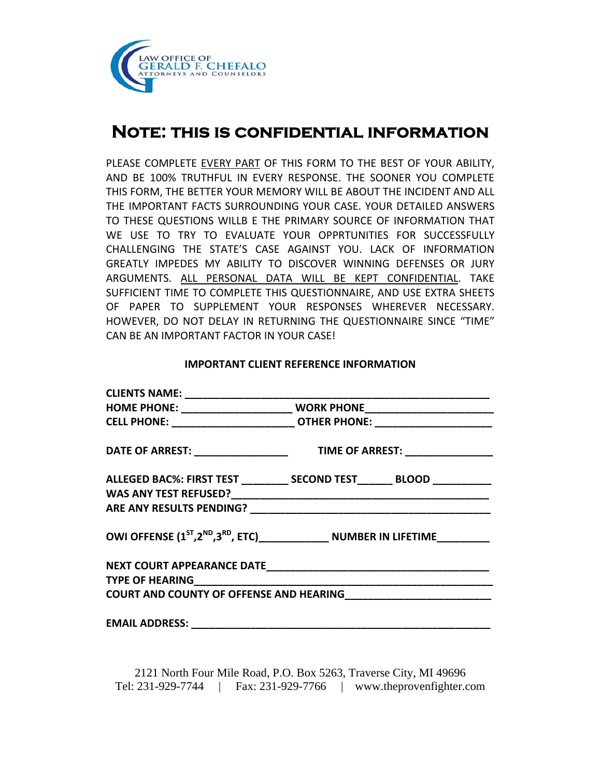

# **Note: this is confidential information**

PLEASE COMPLETE EVERY PART OF THIS FORM TO THE BEST OF YOUR ABILITY, AND BE 100% TRUTHFUL IN EVERY RESPONSE. THE SOONER YOU COMPLETE THIS FORM, THE BETTER YOUR MEMORY WILL BE ABOUT THE INCIDENT AND ALL THE IMPORTANT FACTS SURROUNDING YOUR CASE. YOUR DETAILED ANSWERS TO THESE QUESTIONS WILLB E THE PRIMARY SOURCE OF INFORMATION THAT WE USE TO TRY TO EVALUATE YOUR OPPRTUNITIES FOR SUCCESSFULLY CHALLENGING THE STATE'S CASE AGAINST YOU. LACK OF INFORMATION GREATLY IMPEDES MY ABILITY TO DISCOVER WINNING DEFENSES OR JURY ARGUMENTS. ALL PERSONAL DATA WILL BE KEPT CONFIDENTIAL. TAKE SUFFICIENT TIME TO COMPLETE THIS QUESTIONNAIRE, AND USE EXTRA SHEETS OF PAPER TO SUPPLEMENT YOUR RESPONSES WHEREVER NECESSARY. HOWEVER, DO NOT DELAY IN RETURNING THE QUESTIONNAIRE SINCE "TIME" CAN BE AN IMPORTANT FACTOR IN YOUR CASE!

### **IMPORTANT CLIENT REFERENCE INFORMATION**

| CELL PHONE: _____________________________ OTHER PHONE: _________________________ |
|----------------------------------------------------------------------------------|
|                                                                                  |
| ALLEGED BAC%: FIRST TEST __________ SECOND TEST _______ BLOOD __________         |
|                                                                                  |
|                                                                                  |
| OWI OFFENSE $(1^{ST}, 2^{ND}, 3^{RD}, ETC)$ NUMBER IN LIFETIME                   |
|                                                                                  |
|                                                                                  |
|                                                                                  |
|                                                                                  |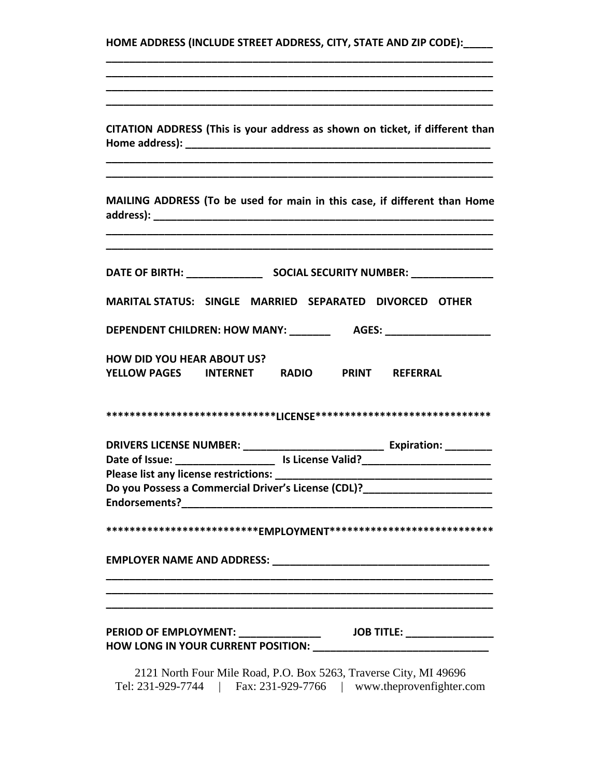| HOME ADDRESS (INCLUDE STREET ADDRESS, CITY, STATE AND ZIP CODE):                                                          |
|---------------------------------------------------------------------------------------------------------------------------|
| CITATION ADDRESS (This is your address as shown on ticket, if different than                                              |
| MAILING ADDRESS (To be used for main in this case, if different than Home                                                 |
| MARITAL STATUS: SINGLE MARRIED SEPARATED DIVORCED OTHER                                                                   |
| DEPENDENT CHILDREN: HOW MANY: _______________ AGES: ____________________________                                          |
| <b>HOW DID YOU HEAR ABOUT US?</b><br>YELLOW PAGES INTERNET RADIO PRINT REFERRAL                                           |
|                                                                                                                           |
| Please list any license restrictions:<br>Do you Possess a Commercial Driver's License (CDL)?_____________________________ |
| ***************************EMPLOYMENT****************************                                                         |
|                                                                                                                           |
| <b>PERIOD OF EMPLOYMENT:</b> ________________<br><b>JOB TITLE:</b> __________________                                     |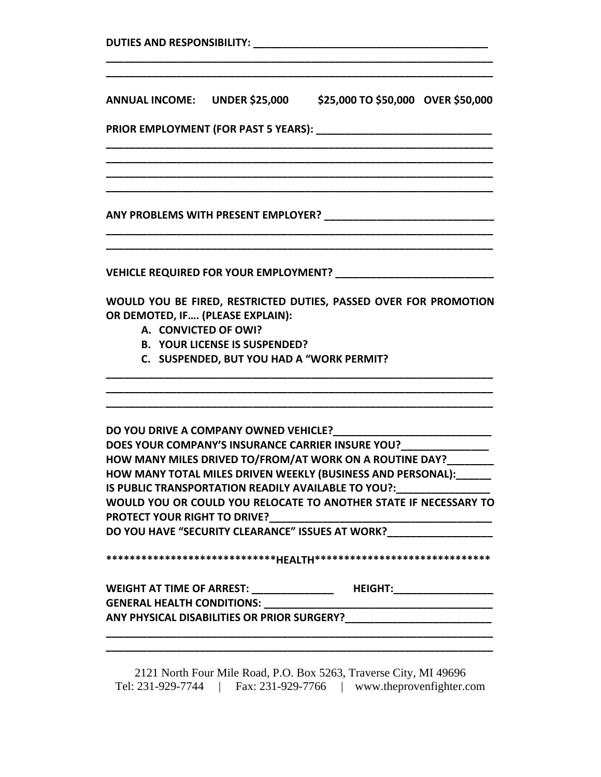| ANNUAL INCOME: UNDER \$25,000 \$25,000 TO \$50,000 OVER \$50,000                                                                                                                                                  |  |
|-------------------------------------------------------------------------------------------------------------------------------------------------------------------------------------------------------------------|--|
|                                                                                                                                                                                                                   |  |
|                                                                                                                                                                                                                   |  |
|                                                                                                                                                                                                                   |  |
|                                                                                                                                                                                                                   |  |
|                                                                                                                                                                                                                   |  |
| WOULD YOU BE FIRED, RESTRICTED DUTIES, PASSED OVER FOR PROMOTION<br>OR DEMOTED, IF (PLEASE EXPLAIN):<br>A. CONVICTED OF OWI?<br><b>B. YOUR LICENSE IS SUSPENDED?</b><br>C. SUSPENDED, BUT YOU HAD A "WORK PERMIT? |  |
|                                                                                                                                                                                                                   |  |
|                                                                                                                                                                                                                   |  |
| DOES YOUR COMPANY'S INSURANCE CARRIER INSURE YOU?_______________                                                                                                                                                  |  |
| HOW MANY MILES DRIVED TO/FROM/AT WORK ON A ROUTINE DAY?_______<br>HOW MANY TOTAL MILES DRIVEN WEEKLY (BUSINESS AND PERSONAL):______                                                                               |  |
| IS PUBLIC TRANSPORTATION READILY AVAILABLE TO YOU?:                                                                                                                                                               |  |
| WOULD YOU OR COULD YOU RELOCATE TO ANOTHER STATE IF NECESSARY TO<br><b>PROTECT YOUR RIGHT TO DRIVE?</b>                                                                                                           |  |
|                                                                                                                                                                                                                   |  |
|                                                                                                                                                                                                                   |  |
|                                                                                                                                                                                                                   |  |
|                                                                                                                                                                                                                   |  |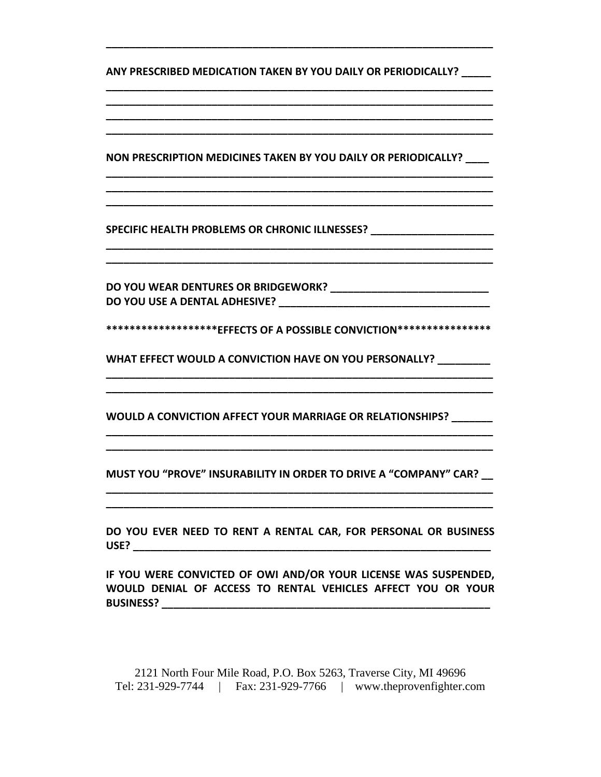**ANY PRESCRIBED MEDICATION TAKEN BY YOU DAILY OR PERIODICALLY? \_\_\_\_\_**

**\_\_\_\_\_\_\_\_\_\_\_\_\_\_\_\_\_\_\_\_\_\_\_\_\_\_\_\_\_\_\_\_\_\_\_\_\_\_\_\_\_\_\_\_\_\_\_\_\_\_\_\_\_\_\_\_\_\_\_\_\_\_\_\_\_\_**

**\_\_\_\_\_\_\_\_\_\_\_\_\_\_\_\_\_\_\_\_\_\_\_\_\_\_\_\_\_\_\_\_\_\_\_\_\_\_\_\_\_\_\_\_\_\_\_\_\_\_\_\_\_\_\_\_\_\_\_\_\_\_\_\_\_\_ \_\_\_\_\_\_\_\_\_\_\_\_\_\_\_\_\_\_\_\_\_\_\_\_\_\_\_\_\_\_\_\_\_\_\_\_\_\_\_\_\_\_\_\_\_\_\_\_\_\_\_\_\_\_\_\_\_\_\_\_\_\_\_\_\_\_ \_\_\_\_\_\_\_\_\_\_\_\_\_\_\_\_\_\_\_\_\_\_\_\_\_\_\_\_\_\_\_\_\_\_\_\_\_\_\_\_\_\_\_\_\_\_\_\_\_\_\_\_\_\_\_\_\_\_\_\_\_\_\_\_\_\_**

**NON PRESCRIPTION MEDICINES TAKEN BY YOU DAILY OR PERIODICALLY? \_\_\_\_**

**\_\_\_\_\_\_\_\_\_\_\_\_\_\_\_\_\_\_\_\_\_\_\_\_\_\_\_\_\_\_\_\_\_\_\_\_\_\_\_\_\_\_\_\_\_\_\_\_\_\_\_\_\_\_\_\_\_\_\_\_\_\_\_\_\_\_ \_\_\_\_\_\_\_\_\_\_\_\_\_\_\_\_\_\_\_\_\_\_\_\_\_\_\_\_\_\_\_\_\_\_\_\_\_\_\_\_\_\_\_\_\_\_\_\_\_\_\_\_\_\_\_\_\_\_\_\_\_\_\_\_\_\_ \_\_\_\_\_\_\_\_\_\_\_\_\_\_\_\_\_\_\_\_\_\_\_\_\_\_\_\_\_\_\_\_\_\_\_\_\_\_\_\_\_\_\_\_\_\_\_\_\_\_\_\_\_\_\_\_\_\_\_\_\_\_\_\_\_\_**

**\_\_\_\_\_\_\_\_\_\_\_\_\_\_\_\_\_\_\_\_\_\_\_\_\_\_\_\_\_\_\_\_\_\_\_\_\_\_\_\_\_\_\_\_\_\_\_\_\_\_\_\_\_\_\_\_\_\_\_\_\_\_\_\_\_\_ \_\_\_\_\_\_\_\_\_\_\_\_\_\_\_\_\_\_\_\_\_\_\_\_\_\_\_\_\_\_\_\_\_\_\_\_\_\_\_\_\_\_\_\_\_\_\_\_\_\_\_\_\_\_\_\_\_\_\_\_\_\_\_\_\_\_**

**SPECIFIC HEALTH PROBLEMS OR CHRONIC ILLNESSES? \_\_\_\_\_\_\_\_\_\_\_\_\_\_\_\_\_\_\_\_\_**

**DO YOU WEAR DENTURES OR BRIDGEWORK? \_\_\_\_\_\_\_\_\_\_\_\_\_\_\_\_\_\_\_\_\_\_\_\_\_\_\_ DO YOU USE A DENTAL ADHESIVE? \_\_\_\_\_\_\_\_\_\_\_\_\_\_\_\_\_\_\_\_\_\_\_\_\_\_\_\_\_\_\_\_\_\_\_\_**

**\*\*\*\*\*\*\*\*\*\*\*\*\*\*\*\*\*\*\*EFFECTS OF A POSSIBLE CONVICTION\*\*\*\*\*\*\*\*\*\*\*\*\*\*\*\***

**\_\_\_\_\_\_\_\_\_\_\_\_\_\_\_\_\_\_\_\_\_\_\_\_\_\_\_\_\_\_\_\_\_\_\_\_\_\_\_\_\_\_\_\_\_\_\_\_\_\_\_\_\_\_\_\_\_\_\_\_\_\_\_\_\_\_ \_\_\_\_\_\_\_\_\_\_\_\_\_\_\_\_\_\_\_\_\_\_\_\_\_\_\_\_\_\_\_\_\_\_\_\_\_\_\_\_\_\_\_\_\_\_\_\_\_\_\_\_\_\_\_\_\_\_\_\_\_\_\_\_\_\_**

**WHAT EFFECT WOULD A CONVICTION HAVE ON YOU PERSONALLY? \_\_\_\_\_\_\_\_\_**

**WOULD A CONVICTION AFFECT YOUR MARRIAGE OR RELATIONSHIPS? \_\_\_\_\_\_\_**

**MUST YOU "PROVE" INSURABILITY IN ORDER TO DRIVE A "COMPANY" CAR? \_\_ \_\_\_\_\_\_\_\_\_\_\_\_\_\_\_\_\_\_\_\_\_\_\_\_\_\_\_\_\_\_\_\_\_\_\_\_\_\_\_\_\_\_\_\_\_\_\_\_\_\_\_\_\_\_\_\_\_\_\_\_\_\_\_\_\_\_**

**\_\_\_\_\_\_\_\_\_\_\_\_\_\_\_\_\_\_\_\_\_\_\_\_\_\_\_\_\_\_\_\_\_\_\_\_\_\_\_\_\_\_\_\_\_\_\_\_\_\_\_\_\_\_\_\_\_\_\_\_\_\_\_\_\_\_ \_\_\_\_\_\_\_\_\_\_\_\_\_\_\_\_\_\_\_\_\_\_\_\_\_\_\_\_\_\_\_\_\_\_\_\_\_\_\_\_\_\_\_\_\_\_\_\_\_\_\_\_\_\_\_\_\_\_\_\_\_\_\_\_\_\_**

**DO YOU EVER NEED TO RENT A RENTAL CAR, FOR PERSONAL OR BUSINESS USE? \_\_\_\_\_\_\_\_\_\_\_\_\_\_\_\_\_\_\_\_\_\_\_\_\_\_\_\_\_\_\_\_\_\_\_\_\_\_\_\_\_\_\_\_\_\_\_\_\_\_\_\_\_\_\_\_\_\_\_\_\_**

**\_\_\_\_\_\_\_\_\_\_\_\_\_\_\_\_\_\_\_\_\_\_\_\_\_\_\_\_\_\_\_\_\_\_\_\_\_\_\_\_\_\_\_\_\_\_\_\_\_\_\_\_\_\_\_\_\_\_\_\_\_\_\_\_\_\_**

**IF YOU WERE CONVICTED OF OWI AND/OR YOUR LICENSE WAS SUSPENDED, WOULD DENIAL OF ACCESS TO RENTAL VEHICLES AFFECT YOU OR YOUR BUSINESS? \_\_\_\_\_\_\_\_\_\_\_\_\_\_\_\_\_\_\_\_\_\_\_\_\_\_\_\_\_\_\_\_\_\_\_\_\_\_\_\_\_\_\_\_\_\_\_\_\_\_\_\_\_\_\_\_**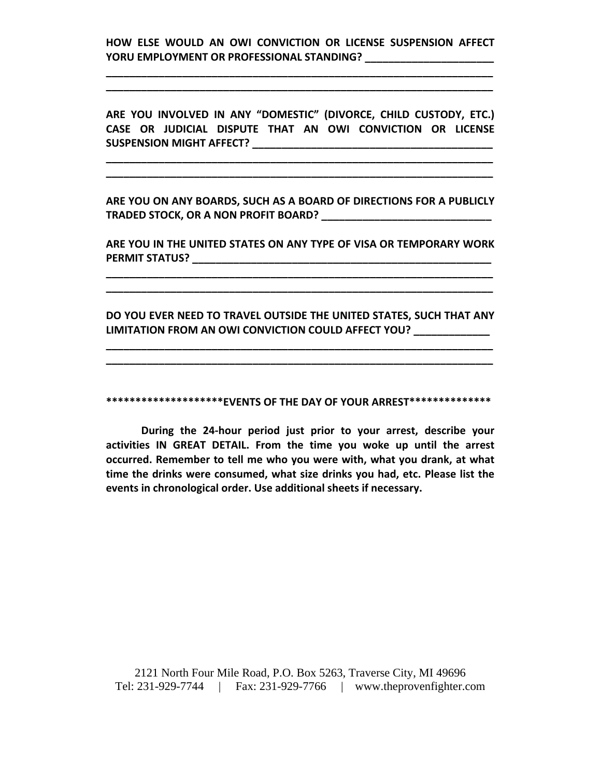# **HOW ELSE WOULD AN OWI CONVICTION OR LICENSE SUSPENSION AFFECT YORU EMPLOYMENT OR PROFESSIONAL STANDING? \_\_\_\_\_\_\_\_\_\_\_\_\_\_\_\_\_\_\_\_\_\_**

**\_\_\_\_\_\_\_\_\_\_\_\_\_\_\_\_\_\_\_\_\_\_\_\_\_\_\_\_\_\_\_\_\_\_\_\_\_\_\_\_\_\_\_\_\_\_\_\_\_\_\_\_\_\_\_\_\_\_\_\_\_\_\_\_\_\_ \_\_\_\_\_\_\_\_\_\_\_\_\_\_\_\_\_\_\_\_\_\_\_\_\_\_\_\_\_\_\_\_\_\_\_\_\_\_\_\_\_\_\_\_\_\_\_\_\_\_\_\_\_\_\_\_\_\_\_\_\_\_\_\_\_\_**

**ARE YOU INVOLVED IN ANY "DOMESTIC" (DIVORCE, CHILD CUSTODY, ETC.) CASE OR JUDICIAL DISPUTE THAT AN OWI CONVICTION OR LICENSE SUSPENSION MIGHT AFFECT? \_\_\_\_\_\_\_\_\_\_\_\_\_\_\_\_\_\_\_\_\_\_\_\_\_\_\_\_\_\_\_\_\_\_\_\_\_\_\_\_\_**

**\_\_\_\_\_\_\_\_\_\_\_\_\_\_\_\_\_\_\_\_\_\_\_\_\_\_\_\_\_\_\_\_\_\_\_\_\_\_\_\_\_\_\_\_\_\_\_\_\_\_\_\_\_\_\_\_\_\_\_\_\_\_\_\_\_\_ \_\_\_\_\_\_\_\_\_\_\_\_\_\_\_\_\_\_\_\_\_\_\_\_\_\_\_\_\_\_\_\_\_\_\_\_\_\_\_\_\_\_\_\_\_\_\_\_\_\_\_\_\_\_\_\_\_\_\_\_\_\_\_\_\_\_**

**ARE YOU ON ANY BOARDS, SUCH AS A BOARD OF DIRECTIONS FOR A PUBLICLY TRADED STOCK, OR A NON PROFIT BOARD? \_\_\_\_\_\_\_\_\_\_\_\_\_\_\_\_\_\_\_\_\_\_\_\_\_\_\_\_\_**

**ARE YOU IN THE UNITED STATES ON ANY TYPE OF VISA OR TEMPORARY WORK PERMIT STATUS? \_\_\_\_\_\_\_\_\_\_\_\_\_\_\_\_\_\_\_\_\_\_\_\_\_\_\_\_\_\_\_\_\_\_\_\_\_\_\_\_\_\_\_\_\_\_\_\_\_\_\_**

**\_\_\_\_\_\_\_\_\_\_\_\_\_\_\_\_\_\_\_\_\_\_\_\_\_\_\_\_\_\_\_\_\_\_\_\_\_\_\_\_\_\_\_\_\_\_\_\_\_\_\_\_\_\_\_\_\_\_\_\_\_\_\_\_\_\_ \_\_\_\_\_\_\_\_\_\_\_\_\_\_\_\_\_\_\_\_\_\_\_\_\_\_\_\_\_\_\_\_\_\_\_\_\_\_\_\_\_\_\_\_\_\_\_\_\_\_\_\_\_\_\_\_\_\_\_\_\_\_\_\_\_\_**

**DO YOU EVER NEED TO TRAVEL OUTSIDE THE UNITED STATES, SUCH THAT ANY LIMITATION FROM AN OWI CONVICTION COULD AFFECT YOU? \_\_\_\_\_\_\_\_\_\_\_\_\_**

**\_\_\_\_\_\_\_\_\_\_\_\_\_\_\_\_\_\_\_\_\_\_\_\_\_\_\_\_\_\_\_\_\_\_\_\_\_\_\_\_\_\_\_\_\_\_\_\_\_\_\_\_\_\_\_\_\_\_\_\_\_\_\_\_\_\_ \_\_\_\_\_\_\_\_\_\_\_\_\_\_\_\_\_\_\_\_\_\_\_\_\_\_\_\_\_\_\_\_\_\_\_\_\_\_\_\_\_\_\_\_\_\_\_\_\_\_\_\_\_\_\_\_\_\_\_\_\_\_\_\_\_\_**

**\*\*\*\*\*\*\*\*\*\*\*\*\*\*\*\*\*\*\*\*EVENTS OF THE DAY OF YOUR ARREST\*\*\*\*\*\*\*\*\*\*\*\*\*\***

**During the 24‐hour period just prior to your arrest, describe your activities IN GREAT DETAIL. From the time you woke up until the arrest occurred. Remember to tell me who you were with, what you drank, at what time the drinks were consumed, what size drinks you had, etc. Please list the events in chronological order. Use additional sheets if necessary.**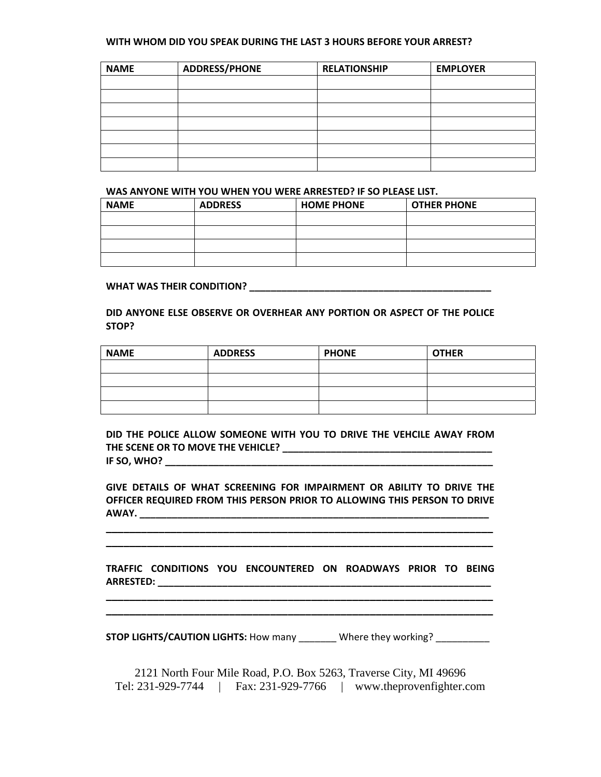#### **WITH WHOM DID YOU SPEAK DURING THE LAST 3 HOURS BEFORE YOUR ARREST?**

| <b>NAME</b> | <b>ADDRESS/PHONE</b> | <b>RELATIONSHIP</b> | <b>EMPLOYER</b> |
|-------------|----------------------|---------------------|-----------------|
|             |                      |                     |                 |
|             |                      |                     |                 |
|             |                      |                     |                 |
|             |                      |                     |                 |
|             |                      |                     |                 |
|             |                      |                     |                 |
|             |                      |                     |                 |

#### **WAS ANYONE WITH YOU WHEN YOU WERE ARRESTED? IF SO PLEASE LIST.**

| <b>NAME</b> | <b>ADDRESS</b> | <b>HOME PHONE</b> | <b>OTHER PHONE</b> |
|-------------|----------------|-------------------|--------------------|
|             |                |                   |                    |
|             |                |                   |                    |
|             |                |                   |                    |
|             |                |                   |                    |

#### **WHAT WAS THEIR CONDITION? \_\_\_\_\_\_\_\_\_\_\_\_\_\_\_\_\_\_\_\_\_\_\_\_\_\_\_\_\_\_\_\_\_\_\_\_\_\_\_\_\_\_\_\_\_**

**DID ANYONE ELSE OBSERVE OR OVERHEAR ANY PORTION OR ASPECT OF THE POLICE STOP?** 

| <b>NAME</b> | <b>ADDRESS</b> | <b>PHONE</b> | <b>OTHER</b> |
|-------------|----------------|--------------|--------------|
|             |                |              |              |
|             |                |              |              |
|             |                |              |              |
|             |                |              |              |

**DID THE POLICE ALLOW SOMEONE WITH YOU TO DRIVE THE VEHCILE AWAY FROM THE SCENE OR TO MOVE THE VEHICLE? \_\_\_\_\_\_\_\_\_\_\_\_\_\_\_\_\_\_\_\_\_\_\_\_\_\_\_\_\_\_\_\_\_\_\_\_\_\_\_ IF SO, WHO? \_\_\_\_\_\_\_\_\_\_\_\_\_\_\_\_\_\_\_\_\_\_\_\_\_\_\_\_\_\_\_\_\_\_\_\_\_\_\_\_\_\_\_\_\_\_\_\_\_\_\_\_\_\_\_\_\_\_\_\_\_**

**GIVE DETAILS OF WHAT SCREENING FOR IMPAIRMENT OR ABILITY TO DRIVE THE OFFICER REQUIRED FROM THIS PERSON PRIOR TO ALLOWING THIS PERSON TO DRIVE AWAY. \_\_\_\_\_\_\_\_\_\_\_\_\_\_\_\_\_\_\_\_\_\_\_\_\_\_\_\_\_\_\_\_\_\_\_\_\_\_\_\_\_\_\_\_\_\_\_\_\_\_\_\_\_\_\_\_\_\_\_\_\_\_\_\_\_**

|                  |  | TRAFFIC CONDITIONS YOU ENCOUNTERED ON ROADWAYS PRIOR TO BEING |  |  |  |
|------------------|--|---------------------------------------------------------------|--|--|--|
| <b>ARRESTED:</b> |  |                                                               |  |  |  |

**\_\_\_\_\_\_\_\_\_\_\_\_\_\_\_\_\_\_\_\_\_\_\_\_\_\_\_\_\_\_\_\_\_\_\_\_\_\_\_\_\_\_\_\_\_\_\_\_\_\_\_\_\_\_\_\_\_\_\_\_\_\_\_\_\_\_ \_\_\_\_\_\_\_\_\_\_\_\_\_\_\_\_\_\_\_\_\_\_\_\_\_\_\_\_\_\_\_\_\_\_\_\_\_\_\_\_\_\_\_\_\_\_\_\_\_\_\_\_\_\_\_\_\_\_\_\_\_\_\_\_\_\_**

**\_\_\_\_\_\_\_\_\_\_\_\_\_\_\_\_\_\_\_\_\_\_\_\_\_\_\_\_\_\_\_\_\_\_\_\_\_\_\_\_\_\_\_\_\_\_\_\_\_\_\_\_\_\_\_\_\_\_\_\_\_\_\_\_\_\_**

**STOP LIGHTS/CAUTION LIGHTS:** How many \_\_\_\_\_\_\_ Where they working? \_\_\_\_\_\_\_\_\_\_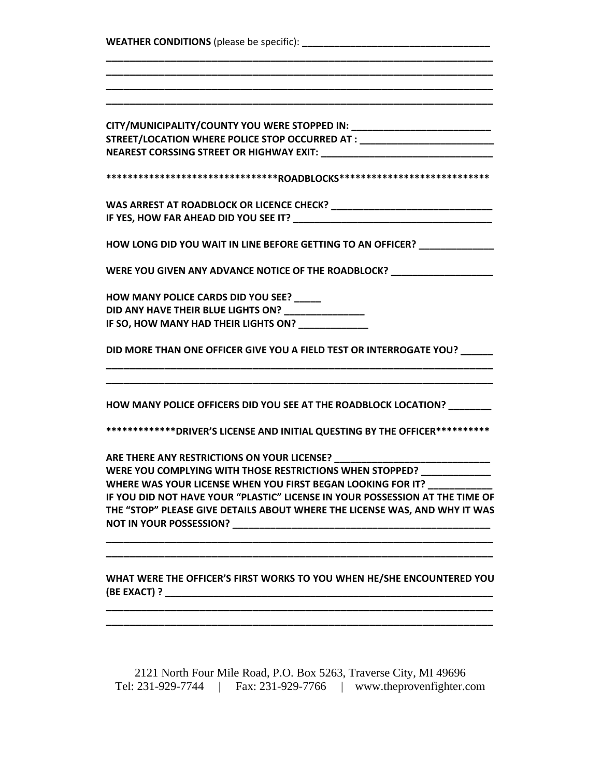| CITY/MUNICIPALITY/COUNTY YOU WERE STOPPED IN: __________________________________ |  |
|----------------------------------------------------------------------------------|--|
| STREET/LOCATION WHERE POLICE STOP OCCURRED AT : ________________________________ |  |
|                                                                                  |  |
| ********************************ROADBLOCKS****************************           |  |
|                                                                                  |  |
|                                                                                  |  |
| HOW LONG DID YOU WAIT IN LINE BEFORE GETTING TO AN OFFICER? _______________      |  |
| WERE YOU GIVEN ANY ADVANCE NOTICE OF THE ROADBLOCK? ____________________________ |  |
| HOW MANY POLICE CARDS DID YOU SEE? _____                                         |  |
| DID ANY HAVE THEIR BLUE LIGHTS ON? ________________                              |  |
| IF SO, HOW MANY HAD THEIR LIGHTS ON? ____________                                |  |
| DID MORE THAN ONE OFFICER GIVE YOU A FIELD TEST OR INTERROGATE YOU? ______       |  |
| HOW MANY POLICE OFFICERS DID YOU SEE AT THE ROADBLOCK LOCATION? ________         |  |
| **************DRIVER'S LICENSE AND INITIAL QUESTING BY THE OFFICER***********    |  |
| ARE THERE ANY RESTRICTIONS ON YOUR LICENSE? ________                             |  |
| WERE YOU COMPLYING WITH THOSE RESTRICTIONS WHEN STOPPED? _____________           |  |
| WHERE WAS YOUR LICENSE WHEN YOU FIRST BEGAN LOOKING FOR IT?                      |  |
| IF YOU DID NOT HAVE YOUR "PLASTIC" LICENSE IN YOUR POSSESSION AT THE TIME OF     |  |
| THE "STOP" PLEASE GIVE DETAILS ABOUT WHERE THE LICENSE WAS, AND WHY IT WAS       |  |
|                                                                                  |  |
| WHAT WERE THE OFFICER'S FIRST WORKS TO YOU WHEN HE/SHE ENCOUNTERED YOU           |  |
|                                                                                  |  |
|                                                                                  |  |
|                                                                                  |  |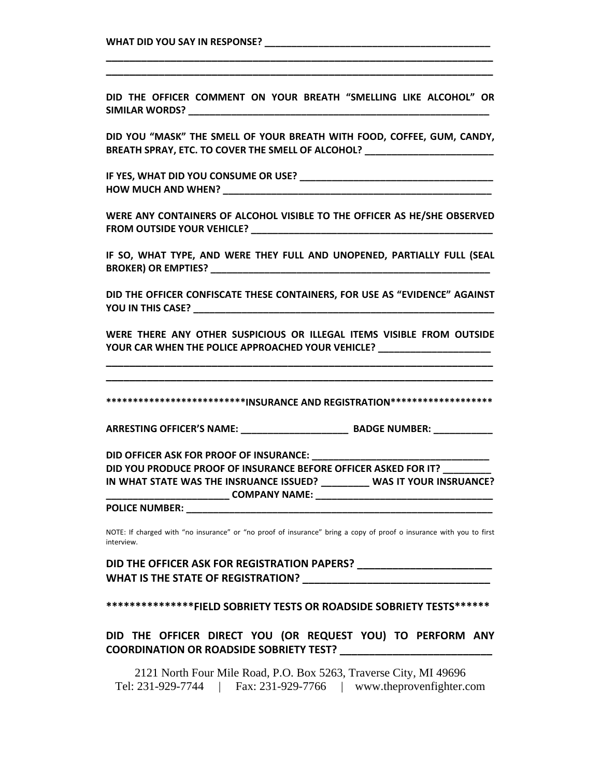# **WHAT DID YOU SAY IN RESPONSE? \_\_\_\_\_\_\_\_\_\_\_\_\_\_\_\_\_\_\_\_\_\_\_\_\_\_\_\_\_\_\_\_\_\_\_\_\_\_\_\_\_\_**

**DID THE OFFICER COMMENT ON YOUR BREATH "SMELLING LIKE ALCOHOL" OR SIMILAR WORDS? \_\_\_\_\_\_\_\_\_\_\_\_\_\_\_\_\_\_\_\_\_\_\_\_\_\_\_\_\_\_\_\_\_\_\_\_\_\_\_\_\_\_\_\_\_\_\_\_\_\_\_\_\_\_\_\_**

**\_\_\_\_\_\_\_\_\_\_\_\_\_\_\_\_\_\_\_\_\_\_\_\_\_\_\_\_\_\_\_\_\_\_\_\_\_\_\_\_\_\_\_\_\_\_\_\_\_\_\_\_\_\_\_\_\_\_\_\_\_\_\_\_\_\_ \_\_\_\_\_\_\_\_\_\_\_\_\_\_\_\_\_\_\_\_\_\_\_\_\_\_\_\_\_\_\_\_\_\_\_\_\_\_\_\_\_\_\_\_\_\_\_\_\_\_\_\_\_\_\_\_\_\_\_\_\_\_\_\_\_\_**

**DID YOU "MASK" THE SMELL OF YOUR BREATH WITH FOOD, COFFEE, GUM, CANDY, BREATH SPRAY, ETC. TO COVER THE SMELL OF ALCOHOL? \_\_\_\_\_\_\_\_\_\_\_\_\_\_\_\_\_\_\_\_\_\_\_\_**

**IF YES, WHAT DID YOU CONSUME OR USE? \_\_\_\_\_\_\_\_\_\_\_\_\_\_\_\_\_\_\_\_\_\_\_\_\_\_\_\_\_\_\_\_\_\_\_\_ HOW MUCH AND WHEN? \_\_\_\_\_\_\_\_\_\_\_\_\_\_\_\_\_\_\_\_\_\_\_\_\_\_\_\_\_\_\_\_\_\_\_\_\_\_\_\_\_\_\_\_\_\_\_\_\_\_**

**WERE ANY CONTAINERS OF ALCOHOL VISIBLE TO THE OFFICER AS HE/SHE OBSERVED FROM OUTSIDE YOUR VEHICLE? \_\_\_\_\_\_\_\_\_\_\_\_\_\_\_\_\_\_\_\_\_\_\_\_\_\_\_\_\_\_\_\_\_\_\_\_\_\_\_\_\_\_\_\_\_**

**IF SO, WHAT TYPE, AND WERE THEY FULL AND UNOPENED, PARTIALLY FULL (SEAL BROKER) OR EMPTIES? \_\_\_\_\_\_\_\_\_\_\_\_\_\_\_\_\_\_\_\_\_\_\_\_\_\_\_\_\_\_\_\_\_\_\_\_\_\_\_\_\_\_\_\_\_\_\_\_\_\_\_\_**

**DID THE OFFICER CONFISCATE THESE CONTAINERS, FOR USE AS "EVIDENCE" AGAINST YOU IN THIS CASE? \_\_\_\_\_\_\_\_\_\_\_\_\_\_\_\_\_\_\_\_\_\_\_\_\_\_\_\_\_\_\_\_\_\_\_\_\_\_\_\_\_\_\_\_\_\_\_\_\_\_\_\_\_\_\_\_**

**WERE THERE ANY OTHER SUSPICIOUS OR ILLEGAL ITEMS VISIBLE FROM OUTSIDE YOUR CAR WHEN THE POLICE APPROACHED YOUR VEHICLE? \_\_\_\_\_\_\_\_\_\_\_\_\_\_\_\_\_\_\_\_\_**

**\_\_\_\_\_\_\_\_\_\_\_\_\_\_\_\_\_\_\_\_\_\_\_\_\_\_\_\_\_\_\_\_\_\_\_\_\_\_\_\_\_\_\_\_\_\_\_\_\_\_\_\_\_\_\_\_\_\_\_\_\_\_\_\_\_\_ \_\_\_\_\_\_\_\_\_\_\_\_\_\_\_\_\_\_\_\_\_\_\_\_\_\_\_\_\_\_\_\_\_\_\_\_\_\_\_\_\_\_\_\_\_\_\_\_\_\_\_\_\_\_\_\_\_\_\_\_\_\_\_\_\_\_**

**\*\*\*\*\*\*\*\*\*\*\*\*\*\*\*\*\*\*\*\*\*\*\*\*\*\*INSURANCE AND REGISTRATION\*\*\*\*\*\*\*\*\*\*\*\*\*\*\*\*\*\*\***

**ARRESTING OFFICER'S NAME: \_\_\_\_\_\_\_\_\_\_\_\_\_\_\_\_\_\_\_\_ BADGE NUMBER: \_\_\_\_\_\_\_\_\_\_\_**

**DID OFFICER ASK FOR PROOF OF INSURANCE: \_\_\_\_\_\_\_\_\_\_\_\_\_\_\_\_\_\_\_\_\_\_\_\_\_\_\_\_\_\_\_\_\_**

**DID YOU PRODUCE PROOF OF INSURANCE BEFORE OFFICER ASKED FOR IT? \_\_\_\_\_\_\_\_\_ IN WHAT STATE WAS THE INSRUANCE ISSUED? \_\_\_\_\_\_\_\_\_ WAS IT YOUR INSRUANCE?**

**\_\_\_\_\_\_\_\_\_\_\_\_\_\_\_\_\_\_\_\_\_\_\_ COMPANY NAME: \_\_\_\_\_\_\_\_\_\_\_\_\_\_\_\_\_\_\_\_\_\_\_\_\_\_\_\_\_\_\_\_\_**

#### **POLICE NUMBER: \_\_\_\_\_\_\_\_\_\_\_\_\_\_\_\_\_\_\_\_\_\_\_\_\_\_\_\_\_\_\_\_\_\_\_\_\_\_\_\_\_\_\_\_\_\_\_\_\_\_\_\_\_\_\_\_\_**

NOTE: If charged with "no insurance" or "no proof of insurance" bring a copy of proof o insurance with you to first interview.

**DID THE OFFICER ASK FOR REGISTRATION PAPERS? \_\_\_\_\_\_\_\_\_\_\_\_\_\_\_\_\_\_\_\_\_\_\_ WHAT IS THE STATE OF REGISTRATION? \_\_\_\_\_\_\_\_\_\_\_\_\_\_\_\_\_\_\_\_\_\_\_\_\_\_\_\_\_\_\_\_**

**\*\*\*\*\*\*\*\*\*\*\*\*\*\*\*FIELD SOBRIETY TESTS OR ROADSIDE SOBRIETY TESTS\*\*\*\*\*\***

**DID THE OFFICER DIRECT YOU (OR REQUEST YOU) TO PERFORM ANY COORDINATION OR ROADSIDE SOBRIETY TEST? \_\_\_\_\_\_\_\_\_\_\_\_\_\_\_\_\_\_\_\_\_\_\_\_\_\_**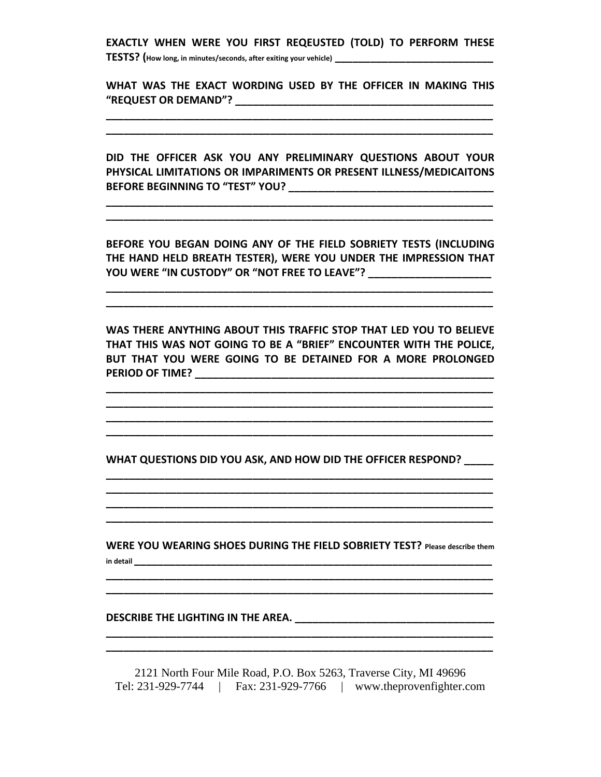**EXACTLY WHEN WERE YOU FIRST REQEUSTED (TOLD) TO PERFORM THESE**

**TESTS? (How long, in minutes/seconds, after exiting your vehicle) \_\_\_\_\_\_\_\_\_\_\_\_\_\_\_\_\_\_\_\_\_\_\_\_\_\_\_**

**WHAT WAS THE EXACT WORDING USED BY THE OFFICER IN MAKING THIS "REQUEST OR DEMAND"? \_\_\_\_\_\_\_\_\_\_\_\_\_\_\_\_\_\_\_\_\_\_\_\_\_\_\_\_\_\_\_\_\_\_\_\_\_\_\_\_\_\_\_\_**

**\_\_\_\_\_\_\_\_\_\_\_\_\_\_\_\_\_\_\_\_\_\_\_\_\_\_\_\_\_\_\_\_\_\_\_\_\_\_\_\_\_\_\_\_\_\_\_\_\_\_\_\_\_\_\_\_\_\_\_\_\_\_\_\_\_\_ \_\_\_\_\_\_\_\_\_\_\_\_\_\_\_\_\_\_\_\_\_\_\_\_\_\_\_\_\_\_\_\_\_\_\_\_\_\_\_\_\_\_\_\_\_\_\_\_\_\_\_\_\_\_\_\_\_\_\_\_\_\_\_\_\_\_**

**DID THE OFFICER ASK YOU ANY PRELIMINARY QUESTIONS ABOUT YOUR PHYSICAL LIMITATIONS OR IMPARIMENTS OR PRESENT ILLNESS/MEDICAITONS BEFORE BEGINNING TO "TEST" YOU? \_\_\_\_\_\_\_\_\_\_\_\_\_\_\_\_\_\_\_\_\_\_\_\_\_\_\_\_\_\_\_\_\_\_\_**

**BEFORE YOU BEGAN DOING ANY OF THE FIELD SOBRIETY TESTS (INCLUDING THE HAND HELD BREATH TESTER), WERE YOU UNDER THE IMPRESSION THAT YOU WERE "IN CUSTODY" OR "NOT FREE TO LEAVE"? \_\_\_\_\_\_\_\_\_\_\_\_\_\_\_\_\_\_\_\_\_**

**\_\_\_\_\_\_\_\_\_\_\_\_\_\_\_\_\_\_\_\_\_\_\_\_\_\_\_\_\_\_\_\_\_\_\_\_\_\_\_\_\_\_\_\_\_\_\_\_\_\_\_\_\_\_\_\_\_\_\_\_\_\_\_\_\_\_ \_\_\_\_\_\_\_\_\_\_\_\_\_\_\_\_\_\_\_\_\_\_\_\_\_\_\_\_\_\_\_\_\_\_\_\_\_\_\_\_\_\_\_\_\_\_\_\_\_\_\_\_\_\_\_\_\_\_\_\_\_\_\_\_\_\_**

**\_\_\_\_\_\_\_\_\_\_\_\_\_\_\_\_\_\_\_\_\_\_\_\_\_\_\_\_\_\_\_\_\_\_\_\_\_\_\_\_\_\_\_\_\_\_\_\_\_\_\_\_\_\_\_\_\_\_\_\_\_\_\_\_\_\_**

**WAS THERE ANYTHING ABOUT THIS TRAFFIC STOP THAT LED YOU TO BELIEVE THAT THIS WAS NOT GOING TO BE A "BRIEF" ENCOUNTER WITH THE POLICE, BUT THAT YOU WERE GOING TO BE DETAINED FOR A MORE PROLONGED PERIOD OF TIME? \_\_\_\_\_\_\_\_\_\_\_\_\_\_\_\_\_\_\_\_\_\_\_\_\_\_\_\_\_\_\_\_\_\_\_\_\_\_\_\_\_\_\_\_\_\_\_\_\_\_\_**

**\_\_\_\_\_\_\_\_\_\_\_\_\_\_\_\_\_\_\_\_\_\_\_\_\_\_\_\_\_\_\_\_\_\_\_\_\_\_\_\_\_\_\_\_\_\_\_\_\_\_\_\_\_\_\_\_\_\_\_\_\_\_\_\_\_\_ \_\_\_\_\_\_\_\_\_\_\_\_\_\_\_\_\_\_\_\_\_\_\_\_\_\_\_\_\_\_\_\_\_\_\_\_\_\_\_\_\_\_\_\_\_\_\_\_\_\_\_\_\_\_\_\_\_\_\_\_\_\_\_\_\_\_ \_\_\_\_\_\_\_\_\_\_\_\_\_\_\_\_\_\_\_\_\_\_\_\_\_\_\_\_\_\_\_\_\_\_\_\_\_\_\_\_\_\_\_\_\_\_\_\_\_\_\_\_\_\_\_\_\_\_\_\_\_\_\_\_\_\_ \_\_\_\_\_\_\_\_\_\_\_\_\_\_\_\_\_\_\_\_\_\_\_\_\_\_\_\_\_\_\_\_\_\_\_\_\_\_\_\_\_\_\_\_\_\_\_\_\_\_\_\_\_\_\_\_\_\_\_\_\_\_\_\_\_\_**

**WHAT QUESTIONS DID YOU ASK, AND HOW DID THE OFFICER RESPOND? \_\_\_\_\_**

**\_\_\_\_\_\_\_\_\_\_\_\_\_\_\_\_\_\_\_\_\_\_\_\_\_\_\_\_\_\_\_\_\_\_\_\_\_\_\_\_\_\_\_\_\_\_\_\_\_\_\_\_\_\_\_\_\_\_\_\_\_\_\_\_\_\_ \_\_\_\_\_\_\_\_\_\_\_\_\_\_\_\_\_\_\_\_\_\_\_\_\_\_\_\_\_\_\_\_\_\_\_\_\_\_\_\_\_\_\_\_\_\_\_\_\_\_\_\_\_\_\_\_\_\_\_\_\_\_\_\_\_\_ \_\_\_\_\_\_\_\_\_\_\_\_\_\_\_\_\_\_\_\_\_\_\_\_\_\_\_\_\_\_\_\_\_\_\_\_\_\_\_\_\_\_\_\_\_\_\_\_\_\_\_\_\_\_\_\_\_\_\_\_\_\_\_\_\_\_ \_\_\_\_\_\_\_\_\_\_\_\_\_\_\_\_\_\_\_\_\_\_\_\_\_\_\_\_\_\_\_\_\_\_\_\_\_\_\_\_\_\_\_\_\_\_\_\_\_\_\_\_\_\_\_\_\_\_\_\_\_\_\_\_\_\_**

**WERE YOU WEARING SHOES DURING THE FIELD SOBRIETY TEST? Please describe them in detail \_\_\_\_\_\_\_\_\_\_\_\_\_\_\_\_\_\_\_\_\_\_\_\_\_\_\_\_\_\_\_\_\_\_\_\_\_\_\_\_\_\_\_\_\_\_\_\_\_\_\_\_\_\_\_\_\_\_\_\_\_**

**\_\_\_\_\_\_\_\_\_\_\_\_\_\_\_\_\_\_\_\_\_\_\_\_\_\_\_\_\_\_\_\_\_\_\_\_\_\_\_\_\_\_\_\_\_\_\_\_\_\_\_\_\_\_\_\_\_\_\_\_\_\_\_\_\_\_ \_\_\_\_\_\_\_\_\_\_\_\_\_\_\_\_\_\_\_\_\_\_\_\_\_\_\_\_\_\_\_\_\_\_\_\_\_\_\_\_\_\_\_\_\_\_\_\_\_\_\_\_\_\_\_\_\_\_\_\_\_\_\_\_\_\_**

**DESCRIBE THE LIGHTING IN THE AREA. \_\_\_\_\_\_\_\_\_\_\_\_\_\_\_\_\_\_\_\_\_\_\_\_\_\_\_\_\_\_\_\_\_\_**

2121 North Four Mile Road, P.O. Box 5263, Traverse City, MI 49696 Tel: 231-929-7744 | Fax: 231-929-7766 | www.theprovenfighter.com

**\_\_\_\_\_\_\_\_\_\_\_\_\_\_\_\_\_\_\_\_\_\_\_\_\_\_\_\_\_\_\_\_\_\_\_\_\_\_\_\_\_\_\_\_\_\_\_\_\_\_\_\_\_\_\_\_\_\_\_\_\_\_\_\_\_\_**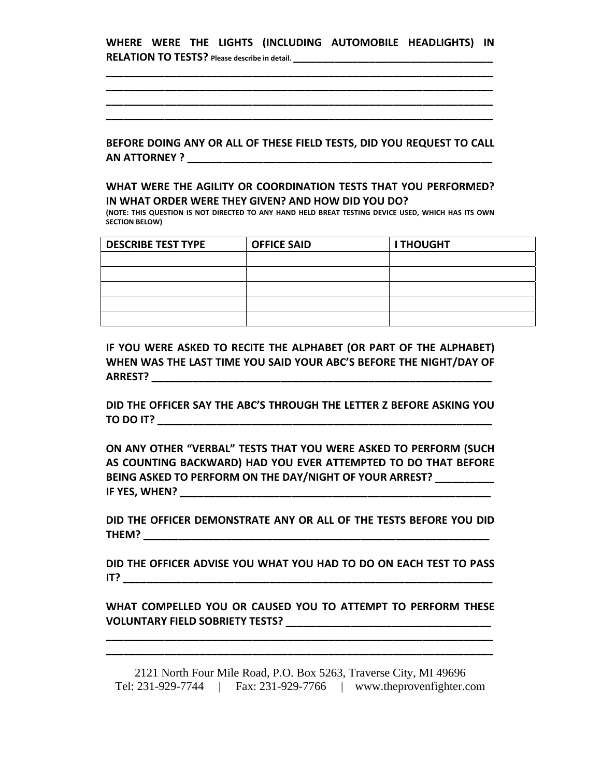**WHERE WERE THE LIGHTS (INCLUDING AUTOMOBILE HEADLIGHTS) IN RELATION TO TESTS? Please describe in detail. \_\_\_\_\_\_\_\_\_\_\_\_\_\_\_\_\_\_\_\_\_\_\_\_\_\_\_\_\_\_\_\_\_\_**

**\_\_\_\_\_\_\_\_\_\_\_\_\_\_\_\_\_\_\_\_\_\_\_\_\_\_\_\_\_\_\_\_\_\_\_\_\_\_\_\_\_\_\_\_\_\_\_\_\_\_\_\_\_\_\_\_\_\_\_\_\_\_\_\_\_\_ \_\_\_\_\_\_\_\_\_\_\_\_\_\_\_\_\_\_\_\_\_\_\_\_\_\_\_\_\_\_\_\_\_\_\_\_\_\_\_\_\_\_\_\_\_\_\_\_\_\_\_\_\_\_\_\_\_\_\_\_\_\_\_\_\_\_ \_\_\_\_\_\_\_\_\_\_\_\_\_\_\_\_\_\_\_\_\_\_\_\_\_\_\_\_\_\_\_\_\_\_\_\_\_\_\_\_\_\_\_\_\_\_\_\_\_\_\_\_\_\_\_\_\_\_\_\_\_\_\_\_\_\_ \_\_\_\_\_\_\_\_\_\_\_\_\_\_\_\_\_\_\_\_\_\_\_\_\_\_\_\_\_\_\_\_\_\_\_\_\_\_\_\_\_\_\_\_\_\_\_\_\_\_\_\_\_\_\_\_\_\_\_\_\_\_\_\_\_\_**

**BEFORE DOING ANY OR ALL OF THESE FIELD TESTS, DID YOU REQUEST TO CALL AN ATTORNEY ? \_\_\_\_\_\_\_\_\_\_\_\_\_\_\_\_\_\_\_\_\_\_\_\_\_\_\_\_\_\_\_\_\_\_\_\_\_\_\_\_\_\_\_\_\_\_\_\_\_\_\_\_**

### **WHAT WERE THE AGILITY OR COORDINATION TESTS THAT YOU PERFORMED? IN WHAT ORDER WERE THEY GIVEN? AND HOW DID YOU DO?**

**(NOTE: THIS QUESTION IS NOT DIRECTED TO ANY HAND HELD BREAT TESTING DEVICE USED, WHICH HAS ITS OWN SECTION BELOW)**

| <b>DESCRIBE TEST TYPE</b> | <b>OFFICE SAID</b> | <b>I THOUGHT</b> |
|---------------------------|--------------------|------------------|
|                           |                    |                  |
|                           |                    |                  |
|                           |                    |                  |
|                           |                    |                  |
|                           |                    |                  |

**IF YOU WERE ASKED TO RECITE THE ALPHABET (OR PART OF THE ALPHABET) WHEN WAS THE LAST TIME YOU SAID YOUR ABC'S BEFORE THE NIGHT/DAY OF ARREST? \_\_\_\_\_\_\_\_\_\_\_\_\_\_\_\_\_\_\_\_\_\_\_\_\_\_\_\_\_\_\_\_\_\_\_\_\_\_\_\_\_\_\_\_\_\_\_\_\_\_\_\_\_\_\_\_\_\_**

**DID THE OFFICER SAY THE ABC'S THROUGH THE LETTER Z BEFORE ASKING YOU TO DO IT? \_\_\_\_\_\_\_\_\_\_\_\_\_\_\_\_\_\_\_\_\_\_\_\_\_\_\_\_\_\_\_\_\_\_\_\_\_\_\_\_\_\_\_\_\_\_\_\_\_\_\_\_\_\_\_\_\_**

**ON ANY OTHER "VERBAL" TESTS THAT YOU WERE ASKED TO PERFORM (SUCH AS COUNTING BACKWARD) HAD YOU EVER ATTEMPTED TO DO THAT BEFORE BEING ASKED TO PERFORM ON THE DAY/NIGHT OF YOUR ARREST? \_\_\_\_\_\_\_\_\_\_ IF YES, WHEN? \_\_\_\_\_\_\_\_\_\_\_\_\_\_\_\_\_\_\_\_\_\_\_\_\_\_\_\_\_\_\_\_\_\_\_\_\_\_\_\_\_\_\_\_\_\_\_\_\_\_\_\_\_**

**DID THE OFFICER DEMONSTRATE ANY OR ALL OF THE TESTS BEFORE YOU DID THEM? \_\_\_\_\_\_\_\_\_\_\_\_\_\_\_\_\_\_\_\_\_\_\_\_\_\_\_\_\_\_\_\_\_\_\_\_\_\_\_\_\_\_\_\_\_\_\_\_\_\_\_\_\_\_\_\_\_\_\_**

**DID THE OFFICER ADVISE YOU WHAT YOU HAD TO DO ON EACH TEST TO PASS IT? \_\_\_\_\_\_\_\_\_\_\_\_\_\_\_\_\_\_\_\_\_\_\_\_\_\_\_\_\_\_\_\_\_\_\_\_\_\_\_\_\_\_\_\_\_\_\_\_\_\_\_\_\_\_\_\_\_\_\_\_\_\_\_**

**WHAT COMPELLED YOU OR CAUSED YOU TO ATTEMPT TO PERFORM THESE VOLUNTARY FIELD SOBRIETY TESTS? \_\_\_\_\_\_\_\_\_\_\_\_\_\_\_\_\_\_\_\_\_\_\_\_\_\_\_\_\_\_\_\_\_\_\_**

**\_\_\_\_\_\_\_\_\_\_\_\_\_\_\_\_\_\_\_\_\_\_\_\_\_\_\_\_\_\_\_\_\_\_\_\_\_\_\_\_\_\_\_\_\_\_\_\_\_\_\_\_\_\_\_\_\_\_\_\_\_\_\_\_\_\_ \_\_\_\_\_\_\_\_\_\_\_\_\_\_\_\_\_\_\_\_\_\_\_\_\_\_\_\_\_\_\_\_\_\_\_\_\_\_\_\_\_\_\_\_\_\_\_\_\_\_\_\_\_\_\_\_\_\_\_\_\_\_\_\_\_\_**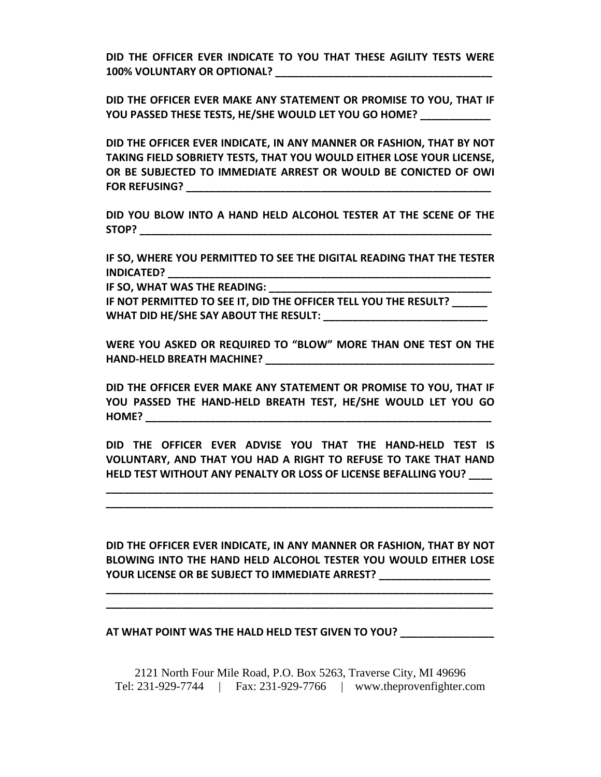**DID THE OFFICER EVER INDICATE TO YOU THAT THESE AGILITY TESTS WERE 100% VOLUNTARY OR OPTIONAL? \_\_\_\_\_\_\_\_\_\_\_\_\_\_\_\_\_\_\_\_\_\_\_\_\_\_\_\_\_\_\_\_\_\_\_\_\_**

**DID THE OFFICER EVER MAKE ANY STATEMENT OR PROMISE TO YOU, THAT IF YOU PASSED THESE TESTS, HE/SHE WOULD LET YOU GO HOME? \_\_\_\_\_\_\_\_\_\_\_\_**

**DID THE OFFICER EVER INDICATE, IN ANY MANNER OR FASHION, THAT BY NOT TAKING FIELD SOBRIETY TESTS, THAT YOU WOULD EITHER LOSE YOUR LICENSE, OR BE SUBJECTED TO IMMEDIATE ARREST OR WOULD BE CONICTED OF OWI FOR REFUSING? \_\_\_\_\_\_\_\_\_\_\_\_\_\_\_\_\_\_\_\_\_\_\_\_\_\_\_\_\_\_\_\_\_\_\_\_\_\_\_\_\_\_\_\_\_\_\_\_\_\_\_\_**

**DID YOU BLOW INTO A HAND HELD ALCOHOL TESTER AT THE SCENE OF THE STOP? \_\_\_\_\_\_\_\_\_\_\_\_\_\_\_\_\_\_\_\_\_\_\_\_\_\_\_\_\_\_\_\_\_\_\_\_\_\_\_\_\_\_\_\_\_\_\_\_\_\_\_\_\_\_\_\_\_\_\_\_**

**IF SO, WHERE YOU PERMITTED TO SEE THE DIGITAL READING THAT THE TESTER INDICATED? \_\_\_\_\_\_\_\_\_\_\_\_\_\_\_\_\_\_\_\_\_\_\_\_\_\_\_\_\_\_\_\_\_\_\_\_\_\_\_\_\_\_\_\_\_\_\_\_\_\_\_\_\_\_\_**

**IF SO, WHAT WAS THE READING: \_\_\_\_\_\_\_\_\_\_\_\_\_\_\_\_\_\_\_\_\_\_\_\_\_\_\_\_\_\_\_\_\_\_\_\_\_\_**

**IF NOT PERMITTED TO SEE IT, DID THE OFFICER TELL YOU THE RESULT? \_\_\_\_\_\_ WHAT DID HE/SHE SAY ABOUT THE RESULT: \_\_\_\_\_\_\_\_\_\_\_\_\_\_\_\_\_\_\_\_\_\_\_\_\_\_\_\_**

**WERE YOU ASKED OR REQUIRED TO "BLOW" MORE THAN ONE TEST ON THE HAND‐HELD BREATH MACHINE? \_\_\_\_\_\_\_\_\_\_\_\_\_\_\_\_\_\_\_\_\_\_\_\_\_\_\_\_\_\_\_\_\_\_\_\_\_\_\_**

**DID THE OFFICER EVER MAKE ANY STATEMENT OR PROMISE TO YOU, THAT IF YOU PASSED THE HAND‐HELD BREATH TEST, HE/SHE WOULD LET YOU GO HOME? \_\_\_\_\_\_\_\_\_\_\_\_\_\_\_\_\_\_\_\_\_\_\_\_\_\_\_\_\_\_\_\_\_\_\_\_\_\_\_\_\_\_\_\_\_\_\_\_\_\_\_\_\_\_\_\_\_\_\_**

**DID THE OFFICER EVER ADVISE YOU THAT THE HAND‐HELD TEST IS VOLUNTARY, AND THAT YOU HAD A RIGHT TO REFUSE TO TAKE THAT HAND HELD TEST WITHOUT ANY PENALTY OR LOSS OF LICENSE BEFALLING YOU? \_\_\_\_**

**\_\_\_\_\_\_\_\_\_\_\_\_\_\_\_\_\_\_\_\_\_\_\_\_\_\_\_\_\_\_\_\_\_\_\_\_\_\_\_\_\_\_\_\_\_\_\_\_\_\_\_\_\_\_\_\_\_\_\_\_\_\_\_\_\_\_ \_\_\_\_\_\_\_\_\_\_\_\_\_\_\_\_\_\_\_\_\_\_\_\_\_\_\_\_\_\_\_\_\_\_\_\_\_\_\_\_\_\_\_\_\_\_\_\_\_\_\_\_\_\_\_\_\_\_\_\_\_\_\_\_\_\_**

**DID THE OFFICER EVER INDICATE, IN ANY MANNER OR FASHION, THAT BY NOT BLOWING INTO THE HAND HELD ALCOHOL TESTER YOU WOULD EITHER LOSE YOUR LICENSE OR BE SUBJECT TO IMMEDIATE ARREST? \_\_\_\_\_\_\_\_\_\_\_\_\_\_\_\_\_\_\_**

**\_\_\_\_\_\_\_\_\_\_\_\_\_\_\_\_\_\_\_\_\_\_\_\_\_\_\_\_\_\_\_\_\_\_\_\_\_\_\_\_\_\_\_\_\_\_\_\_\_\_\_\_\_\_\_\_\_\_\_\_\_\_\_\_\_\_ \_\_\_\_\_\_\_\_\_\_\_\_\_\_\_\_\_\_\_\_\_\_\_\_\_\_\_\_\_\_\_\_\_\_\_\_\_\_\_\_\_\_\_\_\_\_\_\_\_\_\_\_\_\_\_\_\_\_\_\_\_\_\_\_\_\_**

#### **AT WHAT POINT WAS THE HALD HELD TEST GIVEN TO YOU? \_\_\_\_\_\_\_\_\_\_\_\_\_\_\_\_**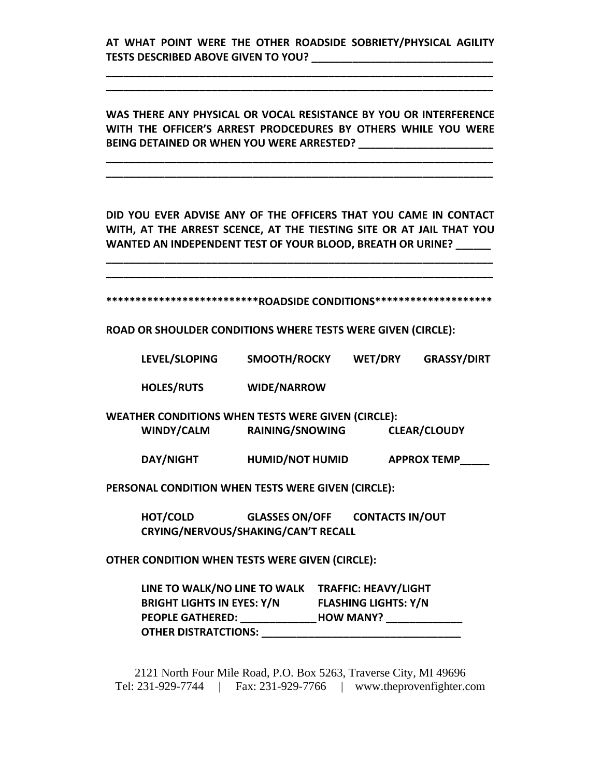# **AT WHAT POINT WERE THE OTHER ROADSIDE SOBRIETY/PHYSICAL AGILITY TESTS DESCRIBED ABOVE GIVEN TO YOU? \_\_\_\_\_\_\_\_\_\_\_\_\_\_\_\_\_\_\_\_\_\_\_\_\_\_\_\_\_\_\_**

**\_\_\_\_\_\_\_\_\_\_\_\_\_\_\_\_\_\_\_\_\_\_\_\_\_\_\_\_\_\_\_\_\_\_\_\_\_\_\_\_\_\_\_\_\_\_\_\_\_\_\_\_\_\_\_\_\_\_\_\_\_\_\_\_\_\_ \_\_\_\_\_\_\_\_\_\_\_\_\_\_\_\_\_\_\_\_\_\_\_\_\_\_\_\_\_\_\_\_\_\_\_\_\_\_\_\_\_\_\_\_\_\_\_\_\_\_\_\_\_\_\_\_\_\_\_\_\_\_\_\_\_\_**

**WAS THERE ANY PHYSICAL OR VOCAL RESISTANCE BY YOU OR INTERFERENCE WITH THE OFFICER'S ARREST PRODCEDURES BY OTHERS WHILE YOU WERE BEING DETAINED OR WHEN YOU WERE ARRESTED? \_\_\_\_\_\_\_\_\_\_\_\_\_\_\_\_\_\_\_\_\_\_\_**

**\_\_\_\_\_\_\_\_\_\_\_\_\_\_\_\_\_\_\_\_\_\_\_\_\_\_\_\_\_\_\_\_\_\_\_\_\_\_\_\_\_\_\_\_\_\_\_\_\_\_\_\_\_\_\_\_\_\_\_\_\_\_\_\_\_\_ \_\_\_\_\_\_\_\_\_\_\_\_\_\_\_\_\_\_\_\_\_\_\_\_\_\_\_\_\_\_\_\_\_\_\_\_\_\_\_\_\_\_\_\_\_\_\_\_\_\_\_\_\_\_\_\_\_\_\_\_\_\_\_\_\_\_**

**DID YOU EVER ADVISE ANY OF THE OFFICERS THAT YOU CAME IN CONTACT WITH, AT THE ARREST SCENCE, AT THE TIESTING SITE OR AT JAIL THAT YOU WANTED AN INDEPENDENT TEST OF YOUR BLOOD, BREATH OR URINE? \_\_\_\_\_\_**

**\_\_\_\_\_\_\_\_\_\_\_\_\_\_\_\_\_\_\_\_\_\_\_\_\_\_\_\_\_\_\_\_\_\_\_\_\_\_\_\_\_\_\_\_\_\_\_\_\_\_\_\_\_\_\_\_\_\_\_\_\_\_\_\_\_\_ \_\_\_\_\_\_\_\_\_\_\_\_\_\_\_\_\_\_\_\_\_\_\_\_\_\_\_\_\_\_\_\_\_\_\_\_\_\_\_\_\_\_\_\_\_\_\_\_\_\_\_\_\_\_\_\_\_\_\_\_\_\_\_\_\_\_**

**\*\*\*\*\*\*\*\*\*\*\*\*\*\*\*\*\*\*\*\*\*\*\*\*\*\*ROADSIDE CONDITIONS\*\*\*\*\*\*\*\*\*\*\*\*\*\*\*\*\*\*\*\***

**ROAD OR SHOULDER CONDITIONS WHERE TESTS WERE GIVEN (CIRCLE):**

**LEVEL/SLOPING SMOOTH/ROCKY WET/DRY GRASSY/DIRT**

**HOLES/RUTS WIDE/NARROW**

**WEATHER CONDITIONS WHEN TESTS WERE GIVEN (CIRCLE): WINDY/CALM RAINING/SNOWING CLEAR/CLOUDY**

**DAY/NIGHT HUMID/NOT HUMID APPROX TEMP\_\_\_\_\_**

**PERSONAL CONDITION WHEN TESTS WERE GIVEN (CIRCLE):**

**HOT/COLD GLASSES ON/OFF CONTACTS IN/OUT CRYING/NERVOUS/SHAKING/CAN'T RECALL**

**OTHER CONDITION WHEN TESTS WERE GIVEN (CIRCLE):**

**LINE TO WALK/NO LINE TO WALK TRAFFIC: HEAVY/LIGHT BRIGHT LIGHTS IN EYES: Y/N FLASHING LIGHTS: Y/N PEOPLE GATHERED: \_\_\_\_\_\_\_\_\_\_\_\_\_HOW MANY? \_\_\_\_\_\_\_\_\_\_\_\_\_ OTHER DISTRATCTIONS: \_\_\_\_\_\_\_\_\_\_\_\_\_\_\_\_\_\_\_\_\_\_\_\_\_\_\_\_\_\_\_\_\_\_**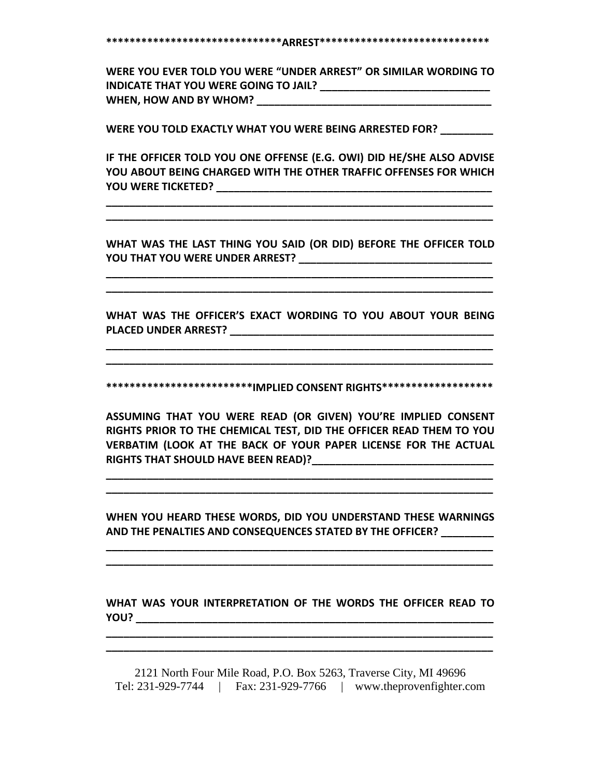**\*\*\*\*\*\*\*\*\*\*\*\*\*\*\*\*\*\*\*\*\*\*\*\*\*\*\*\*\*\*ARREST\*\*\*\*\*\*\*\*\*\*\*\*\*\*\*\*\*\*\*\*\*\*\*\*\*\*\*\*\***

**WERE YOU EVER TOLD YOU WERE "UNDER ARREST" OR SIMILAR WORDING TO INDICATE THAT YOU WERE GOING TO JAIL? \_\_\_\_\_\_\_\_\_\_\_\_\_\_\_\_\_\_\_\_\_\_\_\_\_\_\_\_\_ WHEN, HOW AND BY WHOM? \_\_\_\_\_\_\_\_\_\_\_\_\_\_\_\_\_\_\_\_\_\_\_\_\_\_\_\_\_\_\_\_\_\_\_\_\_\_\_\_**

**WERE YOU TOLD EXACTLY WHAT YOU WERE BEING ARRESTED FOR? \_\_\_\_\_\_\_\_\_**

**IF THE OFFICER TOLD YOU ONE OFFENSE (E.G. OWI) DID HE/SHE ALSO ADVISE YOU ABOUT BEING CHARGED WITH THE OTHER TRAFFIC OFFENSES FOR WHICH YOU WERE TICKETED? \_\_\_\_\_\_\_\_\_\_\_\_\_\_\_\_\_\_\_\_\_\_\_\_\_\_\_\_\_\_\_\_\_\_\_\_\_\_\_\_\_\_\_\_\_\_\_**

**\_\_\_\_\_\_\_\_\_\_\_\_\_\_\_\_\_\_\_\_\_\_\_\_\_\_\_\_\_\_\_\_\_\_\_\_\_\_\_\_\_\_\_\_\_\_\_\_\_\_\_\_\_\_\_\_\_\_\_\_\_\_\_\_\_\_ \_\_\_\_\_\_\_\_\_\_\_\_\_\_\_\_\_\_\_\_\_\_\_\_\_\_\_\_\_\_\_\_\_\_\_\_\_\_\_\_\_\_\_\_\_\_\_\_\_\_\_\_\_\_\_\_\_\_\_\_\_\_\_\_\_\_**

**WHAT WAS THE LAST THING YOU SAID (OR DID) BEFORE THE OFFICER TOLD YOU THAT YOU WERE UNDER ARREST? \_\_\_\_\_\_\_\_\_\_\_\_\_\_\_\_\_\_\_\_\_\_\_\_\_\_\_\_\_\_\_\_\_**

**\_\_\_\_\_\_\_\_\_\_\_\_\_\_\_\_\_\_\_\_\_\_\_\_\_\_\_\_\_\_\_\_\_\_\_\_\_\_\_\_\_\_\_\_\_\_\_\_\_\_\_\_\_\_\_\_\_\_\_\_\_\_\_\_\_\_ \_\_\_\_\_\_\_\_\_\_\_\_\_\_\_\_\_\_\_\_\_\_\_\_\_\_\_\_\_\_\_\_\_\_\_\_\_\_\_\_\_\_\_\_\_\_\_\_\_\_\_\_\_\_\_\_\_\_\_\_\_\_\_\_\_\_**

**WHAT WAS THE OFFICER'S EXACT WORDING TO YOU ABOUT YOUR BEING PLACED UNDER ARREST? \_\_\_\_\_\_\_\_\_\_\_\_\_\_\_\_\_\_\_\_\_\_\_\_\_\_\_\_\_\_\_\_\_\_\_\_\_\_\_\_\_\_\_\_\_**

**\_\_\_\_\_\_\_\_\_\_\_\_\_\_\_\_\_\_\_\_\_\_\_\_\_\_\_\_\_\_\_\_\_\_\_\_\_\_\_\_\_\_\_\_\_\_\_\_\_\_\_\_\_\_\_\_\_\_\_\_\_\_\_\_\_\_ \_\_\_\_\_\_\_\_\_\_\_\_\_\_\_\_\_\_\_\_\_\_\_\_\_\_\_\_\_\_\_\_\_\_\_\_\_\_\_\_\_\_\_\_\_\_\_\_\_\_\_\_\_\_\_\_\_\_\_\_\_\_\_\_\_\_**

**\*\*\*\*\*\*\*\*\*\*\*\*\*\*\*\*\*\*\*\*\*\*\*\*\*IMPLIED CONSENT RIGHTS\*\*\*\*\*\*\*\*\*\*\*\*\*\*\*\*\*\*\***

**ASSUMING THAT YOU WERE READ (OR GIVEN) YOU'RE IMPLIED CONSENT RIGHTS PRIOR TO THE CHEMICAL TEST, DID THE OFFICER READ THEM TO YOU VERBATIM (LOOK AT THE BACK OF YOUR PAPER LICENSE FOR THE ACTUAL RIGHTS THAT SHOULD HAVE BEEN READ)?\_\_\_\_\_\_\_\_\_\_\_\_\_\_\_\_\_\_\_\_\_\_\_\_\_\_\_\_\_\_\_**

**\_\_\_\_\_\_\_\_\_\_\_\_\_\_\_\_\_\_\_\_\_\_\_\_\_\_\_\_\_\_\_\_\_\_\_\_\_\_\_\_\_\_\_\_\_\_\_\_\_\_\_\_\_\_\_\_\_\_\_\_\_\_\_\_\_\_ \_\_\_\_\_\_\_\_\_\_\_\_\_\_\_\_\_\_\_\_\_\_\_\_\_\_\_\_\_\_\_\_\_\_\_\_\_\_\_\_\_\_\_\_\_\_\_\_\_\_\_\_\_\_\_\_\_\_\_\_\_\_\_\_\_\_**

**WHEN YOU HEARD THESE WORDS, DID YOU UNDERSTAND THESE WARNINGS AND THE PENALTIES AND CONSEQUENCES STATED BY THE OFFICER? \_\_\_\_\_\_\_\_\_**

**\_\_\_\_\_\_\_\_\_\_\_\_\_\_\_\_\_\_\_\_\_\_\_\_\_\_\_\_\_\_\_\_\_\_\_\_\_\_\_\_\_\_\_\_\_\_\_\_\_\_\_\_\_\_\_\_\_\_\_\_\_\_\_\_\_\_ \_\_\_\_\_\_\_\_\_\_\_\_\_\_\_\_\_\_\_\_\_\_\_\_\_\_\_\_\_\_\_\_\_\_\_\_\_\_\_\_\_\_\_\_\_\_\_\_\_\_\_\_\_\_\_\_\_\_\_\_\_\_\_\_\_\_**

**WHAT WAS YOUR INTERPRETATION OF THE WORDS THE OFFICER READ TO YOU? \_\_\_\_\_\_\_\_\_\_\_\_\_\_\_\_\_\_\_\_\_\_\_\_\_\_\_\_\_\_\_\_\_\_\_\_\_\_\_\_\_\_\_\_\_\_\_\_\_\_\_\_\_\_\_\_\_\_\_\_\_**

**\_\_\_\_\_\_\_\_\_\_\_\_\_\_\_\_\_\_\_\_\_\_\_\_\_\_\_\_\_\_\_\_\_\_\_\_\_\_\_\_\_\_\_\_\_\_\_\_\_\_\_\_\_\_\_\_\_\_\_\_\_\_\_\_\_\_ \_\_\_\_\_\_\_\_\_\_\_\_\_\_\_\_\_\_\_\_\_\_\_\_\_\_\_\_\_\_\_\_\_\_\_\_\_\_\_\_\_\_\_\_\_\_\_\_\_\_\_\_\_\_\_\_\_\_\_\_\_\_\_\_\_\_**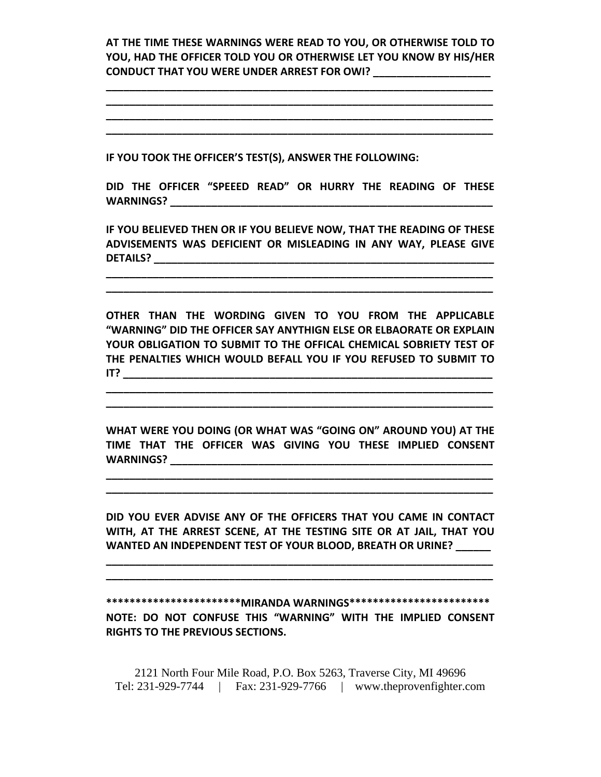**AT THE TIME THESE WARNINGS WERE READ TO YOU, OR OTHERWISE TOLD TO YOU, HAD THE OFFICER TOLD YOU OR OTHERWISE LET YOU KNOW BY HIS/HER CONDUCT THAT YOU WERE UNDER ARREST FOR OWI? \_\_\_\_\_\_\_\_\_\_\_\_\_\_\_\_\_\_\_\_**

**\_\_\_\_\_\_\_\_\_\_\_\_\_\_\_\_\_\_\_\_\_\_\_\_\_\_\_\_\_\_\_\_\_\_\_\_\_\_\_\_\_\_\_\_\_\_\_\_\_\_\_\_\_\_\_\_\_\_\_\_\_\_\_\_\_\_ \_\_\_\_\_\_\_\_\_\_\_\_\_\_\_\_\_\_\_\_\_\_\_\_\_\_\_\_\_\_\_\_\_\_\_\_\_\_\_\_\_\_\_\_\_\_\_\_\_\_\_\_\_\_\_\_\_\_\_\_\_\_\_\_\_\_ \_\_\_\_\_\_\_\_\_\_\_\_\_\_\_\_\_\_\_\_\_\_\_\_\_\_\_\_\_\_\_\_\_\_\_\_\_\_\_\_\_\_\_\_\_\_\_\_\_\_\_\_\_\_\_\_\_\_\_\_\_\_\_\_\_\_ \_\_\_\_\_\_\_\_\_\_\_\_\_\_\_\_\_\_\_\_\_\_\_\_\_\_\_\_\_\_\_\_\_\_\_\_\_\_\_\_\_\_\_\_\_\_\_\_\_\_\_\_\_\_\_\_\_\_\_\_\_\_\_\_\_\_**

**IF YOU TOOK THE OFFICER'S TEST(S), ANSWER THE FOLLOWING:**

**DID THE OFFICER "SPEEED READ" OR HURRY THE READING OF THESE WARNINGS? \_\_\_\_\_\_\_\_\_\_\_\_\_\_\_\_\_\_\_\_\_\_\_\_\_\_\_\_\_\_\_\_\_\_\_\_\_\_\_\_\_\_\_\_\_\_\_\_\_\_\_\_\_\_\_**

**IF YOU BELIEVED THEN OR IF YOU BELIEVE NOW, THAT THE READING OF THESE ADVISEMENTS WAS DEFICIENT OR MISLEADING IN ANY WAY, PLEASE GIVE DETAILS? \_\_\_\_\_\_\_\_\_\_\_\_\_\_\_\_\_\_\_\_\_\_\_\_\_\_\_\_\_\_\_\_\_\_\_\_\_\_\_\_\_\_\_\_\_\_\_\_\_\_\_\_\_\_\_\_\_\_**

**\_\_\_\_\_\_\_\_\_\_\_\_\_\_\_\_\_\_\_\_\_\_\_\_\_\_\_\_\_\_\_\_\_\_\_\_\_\_\_\_\_\_\_\_\_\_\_\_\_\_\_\_\_\_\_\_\_\_\_\_\_\_\_\_\_\_ \_\_\_\_\_\_\_\_\_\_\_\_\_\_\_\_\_\_\_\_\_\_\_\_\_\_\_\_\_\_\_\_\_\_\_\_\_\_\_\_\_\_\_\_\_\_\_\_\_\_\_\_\_\_\_\_\_\_\_\_\_\_\_\_\_\_**

**OTHER THAN THE WORDING GIVEN TO YOU FROM THE APPLICABLE "WARNING" DID THE OFFICER SAY ANYTHIGN ELSE OR ELBAORATE OR EXPLAIN YOUR OBLIGATION TO SUBMIT TO THE OFFICAL CHEMICAL SOBRIETY TEST OF THE PENALTIES WHICH WOULD BEFALL YOU IF YOU REFUSED TO SUBMIT TO IT? \_\_\_\_\_\_\_\_\_\_\_\_\_\_\_\_\_\_\_\_\_\_\_\_\_\_\_\_\_\_\_\_\_\_\_\_\_\_\_\_\_\_\_\_\_\_\_\_\_\_\_\_\_\_\_\_\_\_\_\_\_\_\_**

**\_\_\_\_\_\_\_\_\_\_\_\_\_\_\_\_\_\_\_\_\_\_\_\_\_\_\_\_\_\_\_\_\_\_\_\_\_\_\_\_\_\_\_\_\_\_\_\_\_\_\_\_\_\_\_\_\_\_\_\_\_\_\_\_\_\_ \_\_\_\_\_\_\_\_\_\_\_\_\_\_\_\_\_\_\_\_\_\_\_\_\_\_\_\_\_\_\_\_\_\_\_\_\_\_\_\_\_\_\_\_\_\_\_\_\_\_\_\_\_\_\_\_\_\_\_\_\_\_\_\_\_\_**

**WHAT WERE YOU DOING (OR WHAT WAS "GOING ON" AROUND YOU) AT THE TIME THAT THE OFFICER WAS GIVING YOU THESE IMPLIED CONSENT WARNINGS? with a set of the set of the set of the set of the set of the set of the set of the set of the set of the set of the set of the set of the set of the set of the set of the set of the set of the set of the set** 

**\_\_\_\_\_\_\_\_\_\_\_\_\_\_\_\_\_\_\_\_\_\_\_\_\_\_\_\_\_\_\_\_\_\_\_\_\_\_\_\_\_\_\_\_\_\_\_\_\_\_\_\_\_\_\_\_\_\_\_\_\_\_\_\_\_\_ \_\_\_\_\_\_\_\_\_\_\_\_\_\_\_\_\_\_\_\_\_\_\_\_\_\_\_\_\_\_\_\_\_\_\_\_\_\_\_\_\_\_\_\_\_\_\_\_\_\_\_\_\_\_\_\_\_\_\_\_\_\_\_\_\_\_**

**DID YOU EVER ADVISE ANY OF THE OFFICERS THAT YOU CAME IN CONTACT WITH, AT THE ARREST SCENE, AT THE TESTING SITE OR AT JAIL, THAT YOU WANTED AN INDEPENDENT TEST OF YOUR BLOOD, BREATH OR URINE? \_\_\_\_\_\_**

**\_\_\_\_\_\_\_\_\_\_\_\_\_\_\_\_\_\_\_\_\_\_\_\_\_\_\_\_\_\_\_\_\_\_\_\_\_\_\_\_\_\_\_\_\_\_\_\_\_\_\_\_\_\_\_\_\_\_\_\_\_\_\_\_\_\_ \_\_\_\_\_\_\_\_\_\_\_\_\_\_\_\_\_\_\_\_\_\_\_\_\_\_\_\_\_\_\_\_\_\_\_\_\_\_\_\_\_\_\_\_\_\_\_\_\_\_\_\_\_\_\_\_\_\_\_\_\_\_\_\_\_\_**

**\*\*\*\*\*\*\*\*\*\*\*\*\*\*\*\*\*\*\*\*\*\*\*MIRANDA WARNINGS\*\*\*\*\*\*\*\*\*\*\*\*\*\*\*\*\*\*\*\*\*\*\*\* NOTE: DO NOT CONFUSE THIS "WARNING" WITH THE IMPLIED CONSENT RIGHTS TO THE PREVIOUS SECTIONS.**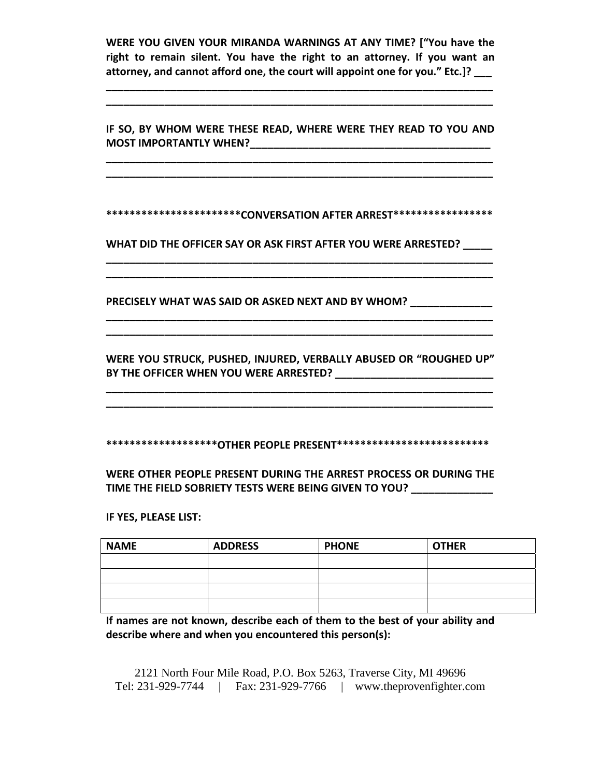**WERE YOU GIVEN YOUR MIRANDA WARNINGS AT ANY TIME? ["You have the right to remain silent. You have the right to an attorney. If you want an attorney, and cannot afford one, the court will appoint one for you." Etc.]? \_\_\_**

**\_\_\_\_\_\_\_\_\_\_\_\_\_\_\_\_\_\_\_\_\_\_\_\_\_\_\_\_\_\_\_\_\_\_\_\_\_\_\_\_\_\_\_\_\_\_\_\_\_\_\_\_\_\_\_\_\_\_\_\_\_\_\_\_\_\_ \_\_\_\_\_\_\_\_\_\_\_\_\_\_\_\_\_\_\_\_\_\_\_\_\_\_\_\_\_\_\_\_\_\_\_\_\_\_\_\_\_\_\_\_\_\_\_\_\_\_\_\_\_\_\_\_\_\_\_\_\_\_\_\_\_\_**

**IF SO, BY WHOM WERE THESE READ, WHERE WERE THEY READ TO YOU AND MOST IMPORTANTLY WHEN?\_\_\_\_\_\_\_\_\_\_\_\_\_\_\_\_\_\_\_\_\_\_\_\_\_\_\_\_\_\_\_\_\_\_\_\_\_\_\_\_\_**

**\_\_\_\_\_\_\_\_\_\_\_\_\_\_\_\_\_\_\_\_\_\_\_\_\_\_\_\_\_\_\_\_\_\_\_\_\_\_\_\_\_\_\_\_\_\_\_\_\_\_\_\_\_\_\_\_\_\_\_\_\_\_\_\_\_\_ \_\_\_\_\_\_\_\_\_\_\_\_\_\_\_\_\_\_\_\_\_\_\_\_\_\_\_\_\_\_\_\_\_\_\_\_\_\_\_\_\_\_\_\_\_\_\_\_\_\_\_\_\_\_\_\_\_\_\_\_\_\_\_\_\_\_**

**\*\*\*\*\*\*\*\*\*\*\*\*\*\*\*\*\*\*\*\*\*\*\*CONVERSATION AFTER ARREST\*\*\*\*\*\*\*\*\*\*\*\*\*\*\*\*\***

**WHAT DID THE OFFICER SAY OR ASK FIRST AFTER YOU WERE ARRESTED? \_\_\_\_\_**

**\_\_\_\_\_\_\_\_\_\_\_\_\_\_\_\_\_\_\_\_\_\_\_\_\_\_\_\_\_\_\_\_\_\_\_\_\_\_\_\_\_\_\_\_\_\_\_\_\_\_\_\_\_\_\_\_\_\_\_\_\_\_\_\_\_\_ \_\_\_\_\_\_\_\_\_\_\_\_\_\_\_\_\_\_\_\_\_\_\_\_\_\_\_\_\_\_\_\_\_\_\_\_\_\_\_\_\_\_\_\_\_\_\_\_\_\_\_\_\_\_\_\_\_\_\_\_\_\_\_\_\_\_**

**PRECISELY WHAT WAS SAID OR ASKED NEXT AND BY WHOM? \_\_\_\_\_\_\_\_\_\_\_\_\_\_**

**WERE YOU STRUCK, PUSHED, INJURED, VERBALLY ABUSED OR "ROUGHED UP" BY THE OFFICER WHEN YOU WERE ARRESTED? \_\_\_\_\_\_\_\_\_\_\_\_\_\_\_\_\_\_\_\_\_\_\_\_\_\_\_**

**\_\_\_\_\_\_\_\_\_\_\_\_\_\_\_\_\_\_\_\_\_\_\_\_\_\_\_\_\_\_\_\_\_\_\_\_\_\_\_\_\_\_\_\_\_\_\_\_\_\_\_\_\_\_\_\_\_\_\_\_\_\_\_\_\_\_**

**\_\_\_\_\_\_\_\_\_\_\_\_\_\_\_\_\_\_\_\_\_\_\_\_\_\_\_\_\_\_\_\_\_\_\_\_\_\_\_\_\_\_\_\_\_\_\_\_\_\_\_\_\_\_\_\_\_\_\_\_\_\_\_\_\_\_ \_\_\_\_\_\_\_\_\_\_\_\_\_\_\_\_\_\_\_\_\_\_\_\_\_\_\_\_\_\_\_\_\_\_\_\_\_\_\_\_\_\_\_\_\_\_\_\_\_\_\_\_\_\_\_\_\_\_\_\_\_\_\_\_\_\_**

**\*\*\*\*\*\*\*\*\*\*\*\*\*\*\*\*\*\*\*OTHER PEOPLE PRESENT\*\*\*\*\*\*\*\*\*\*\*\*\*\*\*\*\*\*\*\*\*\*\*\*\*\***

**WERE OTHER PEOPLE PRESENT DURING THE ARREST PROCESS OR DURING THE TIME THE FIELD SOBRIETY TESTS WERE BEING GIVEN TO YOU? \_\_\_\_\_\_\_\_\_\_\_\_\_\_**

**IF YES, PLEASE LIST:**

| <b>NAME</b> | <b>ADDRESS</b> | <b>PHONE</b> | <b>OTHER</b> |
|-------------|----------------|--------------|--------------|
|             |                |              |              |
|             |                |              |              |
|             |                |              |              |
|             |                |              |              |

**If names are not known, describe each of them to the best of your ability and describe where and when you encountered this person(s):**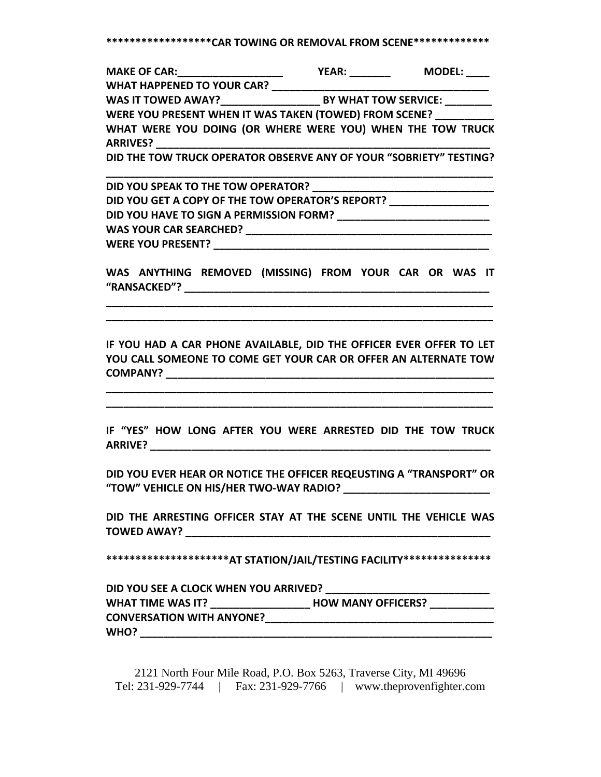**\*\*\*\*\*\*\*\*\*\*\*\*\*\*\*\*\*\*CAR TOWING OR REMOVAL FROM SCENE\*\*\*\*\*\*\*\*\*\*\*\*\***

**MAKE OF CAR:\_\_\_\_\_\_\_\_\_\_\_\_\_\_\_\_\_\_ YEAR: \_\_\_\_\_\_\_ MODEL: \_\_\_\_ WHAT HAPPENED TO YOUR CAR? \_\_\_\_\_\_\_\_\_\_\_\_\_\_\_\_\_\_\_\_\_\_\_\_\_\_\_\_\_\_\_\_\_\_\_\_\_**

**WAS IT TOWED AWAY?\_\_\_\_\_\_\_\_\_\_\_\_\_\_\_\_\_ BY WHAT TOW SERVICE: \_\_\_\_\_\_\_\_**

**WERE YOU PRESENT WHEN IT WAS TAKEN (TOWED) FROM SCENE? \_\_\_\_\_\_\_\_\_\_ WHAT WERE YOU DOING (OR WHERE WERE YOU) WHEN THE TOW TRUCK ARRIVES? \_\_\_\_\_\_\_\_\_\_\_\_\_\_\_\_\_\_\_\_\_\_\_\_\_\_\_\_\_\_\_\_\_\_\_\_\_\_\_\_\_\_\_\_\_\_\_\_\_\_\_\_\_\_\_\_\_**

**DID THE TOW TRUCK OPERATOR OBSERVE ANY OF YOUR "SOBRIETY" TESTING?**

**\_\_\_\_\_\_\_\_\_\_\_\_\_\_\_\_\_\_\_\_\_\_\_\_\_\_\_\_\_\_\_\_\_\_\_\_\_\_\_\_\_\_\_\_\_\_\_\_\_\_\_\_\_\_\_\_\_\_\_\_\_\_\_\_\_\_ DID YOU SPEAK TO THE TOW OPERATOR? \_\_\_\_\_\_\_\_\_\_\_\_\_\_\_\_\_\_\_\_\_\_\_\_\_\_\_\_\_\_\_ DID YOU GET A COPY OF THE TOW OPERATOR'S REPORT? \_\_\_\_\_\_\_\_\_\_\_\_\_\_\_\_\_ DID YOU HAVE TO SIGN A PERMISSION FORM? \_\_\_\_\_\_\_\_\_\_\_\_\_\_\_\_\_\_\_\_\_\_\_\_\_\_ WAS YOUR CAR SEARCHED? \_\_\_\_\_\_\_\_\_\_\_\_\_\_\_\_\_\_\_\_\_\_\_\_\_\_\_\_\_\_\_\_\_\_\_\_\_\_\_\_\_\_ WERE YOU PRESENT? \_\_\_\_\_\_\_\_\_\_\_\_\_\_\_\_\_\_\_\_\_\_\_\_\_\_\_\_\_\_\_\_\_\_\_\_\_\_\_\_\_\_\_\_\_\_\_**

**WAS ANYTHING REMOVED (MISSING) FROM YOUR CAR OR WAS IT "RANSACKED"? \_\_\_\_\_\_\_\_\_\_\_\_\_\_\_\_\_\_\_\_\_\_\_\_\_\_\_\_\_\_\_\_\_\_\_\_\_\_\_\_\_\_\_\_\_\_\_\_\_\_\_\_**

**\_\_\_\_\_\_\_\_\_\_\_\_\_\_\_\_\_\_\_\_\_\_\_\_\_\_\_\_\_\_\_\_\_\_\_\_\_\_\_\_\_\_\_\_\_\_\_\_\_\_\_\_\_\_\_\_\_\_\_\_\_\_\_\_\_\_ \_\_\_\_\_\_\_\_\_\_\_\_\_\_\_\_\_\_\_\_\_\_\_\_\_\_\_\_\_\_\_\_\_\_\_\_\_\_\_\_\_\_\_\_\_\_\_\_\_\_\_\_\_\_\_\_\_\_\_\_\_\_\_\_\_\_**

**IF YOU HAD A CAR PHONE AVAILABLE, DID THE OFFICER EVER OFFER TO LET YOU CALL SOMEONE TO COME GET YOUR CAR OR OFFER AN ALTERNATE TOW COMPANY? \_\_\_\_\_\_\_\_\_\_\_\_\_\_\_\_\_\_\_\_\_\_\_\_\_\_\_\_\_\_\_\_\_\_\_\_\_\_\_\_\_\_\_\_\_\_\_\_\_\_\_\_\_\_\_\_**

**\_\_\_\_\_\_\_\_\_\_\_\_\_\_\_\_\_\_\_\_\_\_\_\_\_\_\_\_\_\_\_\_\_\_\_\_\_\_\_\_\_\_\_\_\_\_\_\_\_\_\_\_\_\_\_\_\_\_\_\_\_\_\_\_\_\_ \_\_\_\_\_\_\_\_\_\_\_\_\_\_\_\_\_\_\_\_\_\_\_\_\_\_\_\_\_\_\_\_\_\_\_\_\_\_\_\_\_\_\_\_\_\_\_\_\_\_\_\_\_\_\_\_\_\_\_\_\_\_\_\_\_\_**

**IF "YES" HOW LONG AFTER YOU WERE ARRESTED DID THE TOW TRUCK ARRIVE? \_\_\_\_\_\_\_\_\_\_\_\_\_\_\_\_\_\_\_\_\_\_\_\_\_\_\_\_\_\_\_\_\_\_\_\_\_\_\_\_\_\_\_\_\_\_\_\_\_\_\_\_\_\_\_\_\_\_**

**DID YOU EVER HEAR OR NOTICE THE OFFICER REQEUSTING A "TRANSPORT" OR "TOW" VEHICLE ON HIS/HER TWO‐WAY RADIO? \_\_\_\_\_\_\_\_\_\_\_\_\_\_\_\_\_\_\_\_\_\_\_\_\_**

**DID THE ARRESTING OFFICER STAY AT THE SCENE UNTIL THE VEHICLE WAS TOWED AWAY? \_\_\_\_\_\_\_\_\_\_\_\_\_\_\_\_\_\_\_\_\_\_\_\_\_\_\_\_\_\_\_\_\_\_\_\_\_\_\_\_\_\_\_\_\_\_\_\_\_\_\_\_**

**\*\*\*\*\*\*\*\*\*\*\*\*\*\*\*\*\*\*\*\*\*AT STATION/JAIL/TESTING FACILITY\*\*\*\*\*\*\*\*\*\*\*\*\*\*\***

**DID YOU SEE A CLOCK WHEN YOU ARRIVED? \_\_\_\_\_\_\_\_\_\_\_\_\_\_\_\_\_\_\_\_\_\_\_\_\_\_\_\_**

**WHAT TIME WAS IT? \_\_\_\_\_\_\_\_\_\_\_\_\_\_\_\_\_ HOW MANY OFFICERS? \_\_\_\_\_\_\_\_\_\_\_ CONVERSATION WITH ANYONE? WHO? \_\_\_\_\_\_\_\_\_\_\_\_\_\_\_\_\_\_\_\_\_\_\_\_\_\_\_\_\_\_\_\_\_\_\_\_\_\_\_\_\_\_\_\_\_\_\_\_\_\_\_\_\_\_\_\_\_\_\_\_**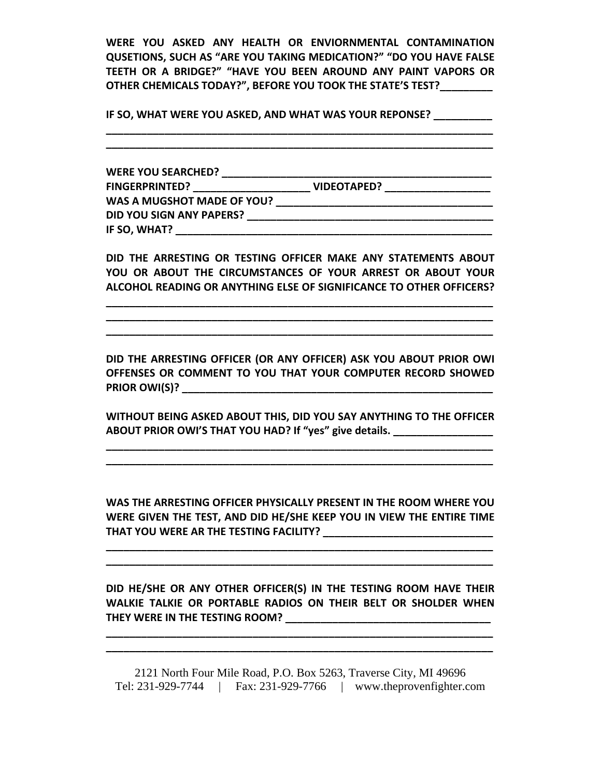**WERE YOU ASKED ANY HEALTH OR ENVIORNMENTAL CONTAMINATION QUSETIONS, SUCH AS "ARE YOU TAKING MEDICATION?" "DO YOU HAVE FALSE TEETH OR A BRIDGE?" "HAVE YOU BEEN AROUND ANY PAINT VAPORS OR OTHER CHEMICALS TODAY?", BEFORE YOU TOOK THE STATE'S TEST?\_\_\_\_\_\_\_\_\_**

**IF SO, WHAT WERE YOU ASKED, AND WHAT WAS YOUR REPONSE? \_\_\_\_\_\_\_\_\_\_ \_\_\_\_\_\_\_\_\_\_\_\_\_\_\_\_\_\_\_\_\_\_\_\_\_\_\_\_\_\_\_\_\_\_\_\_\_\_\_\_\_\_\_\_\_\_\_\_\_\_\_\_\_\_\_\_\_\_\_\_\_\_\_\_\_\_**

**\_\_\_\_\_\_\_\_\_\_\_\_\_\_\_\_\_\_\_\_\_\_\_\_\_\_\_\_\_\_\_\_\_\_\_\_\_\_\_\_\_\_\_\_\_\_\_\_\_\_\_\_\_\_\_\_\_\_\_\_\_\_\_\_\_\_**

**WERE YOU SEARCHED? \_\_\_\_\_\_\_\_\_\_\_\_\_\_\_\_\_\_\_\_\_\_\_\_\_\_\_\_\_\_\_\_\_\_\_\_\_\_\_\_\_\_\_\_\_\_ FINGERPRINTED? \_\_\_\_\_\_\_\_\_\_\_\_\_\_\_\_\_\_\_\_ VIDEOTAPED? \_\_\_\_\_\_\_\_\_\_\_\_\_\_\_\_\_\_ WAS A MUGSHOT MADE OF YOU? \_\_\_\_\_\_\_\_\_\_\_\_\_\_\_\_\_\_\_\_\_\_\_\_\_\_\_\_\_\_\_\_\_\_\_\_\_ DID YOU SIGN ANY PAPERS? \_\_\_\_\_\_\_\_\_\_\_\_\_\_\_\_\_\_\_\_\_\_\_\_\_\_\_\_\_\_\_\_\_\_\_\_\_\_\_\_\_\_ IF SO, WHAT? \_\_\_\_\_\_\_\_\_\_\_\_\_\_\_\_\_\_\_\_\_\_\_\_\_\_\_\_\_\_\_\_\_\_\_\_\_\_\_\_\_\_\_\_\_\_\_\_\_\_\_\_\_\_**

**DID THE ARRESTING OR TESTING OFFICER MAKE ANY STATEMENTS ABOUT YOU OR ABOUT THE CIRCUMSTANCES OF YOUR ARREST OR ABOUT YOUR ALCOHOL READING OR ANYTHING ELSE OF SIGNIFICANCE TO OTHER OFFICERS?**

**\_\_\_\_\_\_\_\_\_\_\_\_\_\_\_\_\_\_\_\_\_\_\_\_\_\_\_\_\_\_\_\_\_\_\_\_\_\_\_\_\_\_\_\_\_\_\_\_\_\_\_\_\_\_\_\_\_\_\_\_\_\_\_\_\_\_ \_\_\_\_\_\_\_\_\_\_\_\_\_\_\_\_\_\_\_\_\_\_\_\_\_\_\_\_\_\_\_\_\_\_\_\_\_\_\_\_\_\_\_\_\_\_\_\_\_\_\_\_\_\_\_\_\_\_\_\_\_\_\_\_\_\_ \_\_\_\_\_\_\_\_\_\_\_\_\_\_\_\_\_\_\_\_\_\_\_\_\_\_\_\_\_\_\_\_\_\_\_\_\_\_\_\_\_\_\_\_\_\_\_\_\_\_\_\_\_\_\_\_\_\_\_\_\_\_\_\_\_\_**

**DID THE ARRESTING OFFICER (OR ANY OFFICER) ASK YOU ABOUT PRIOR OWI OFFENSES OR COMMENT TO YOU THAT YOUR COMPUTER RECORD SHOWED PRIOR OWI(S)? \_\_\_\_\_\_\_\_\_\_\_\_\_\_\_\_\_\_\_\_\_\_\_\_\_\_\_\_\_\_\_\_\_\_\_\_\_\_\_\_\_\_\_\_\_\_\_\_\_\_\_\_\_**

**WITHOUT BEING ASKED ABOUT THIS, DID YOU SAY ANYTHING TO THE OFFICER ABOUT PRIOR OWI'S THAT YOU HAD? If "yes" give details. \_\_\_\_\_\_\_\_\_\_\_\_\_\_\_\_\_**

**\_\_\_\_\_\_\_\_\_\_\_\_\_\_\_\_\_\_\_\_\_\_\_\_\_\_\_\_\_\_\_\_\_\_\_\_\_\_\_\_\_\_\_\_\_\_\_\_\_\_\_\_\_\_\_\_\_\_\_\_\_\_\_\_\_\_ \_\_\_\_\_\_\_\_\_\_\_\_\_\_\_\_\_\_\_\_\_\_\_\_\_\_\_\_\_\_\_\_\_\_\_\_\_\_\_\_\_\_\_\_\_\_\_\_\_\_\_\_\_\_\_\_\_\_\_\_\_\_\_\_\_\_**

**WAS THE ARRESTING OFFICER PHYSICALLY PRESENT IN THE ROOM WHERE YOU WERE GIVEN THE TEST, AND DID HE/SHE KEEP YOU IN VIEW THE ENTIRE TIME THAT YOU WERE AR THE TESTING FACILITY? \_\_\_\_\_\_\_\_\_\_\_\_\_\_\_\_\_\_\_\_\_\_\_\_\_\_\_\_\_**

**\_\_\_\_\_\_\_\_\_\_\_\_\_\_\_\_\_\_\_\_\_\_\_\_\_\_\_\_\_\_\_\_\_\_\_\_\_\_\_\_\_\_\_\_\_\_\_\_\_\_\_\_\_\_\_\_\_\_\_\_\_\_\_\_\_\_ \_\_\_\_\_\_\_\_\_\_\_\_\_\_\_\_\_\_\_\_\_\_\_\_\_\_\_\_\_\_\_\_\_\_\_\_\_\_\_\_\_\_\_\_\_\_\_\_\_\_\_\_\_\_\_\_\_\_\_\_\_\_\_\_\_\_**

**DID HE/SHE OR ANY OTHER OFFICER(S) IN THE TESTING ROOM HAVE THEIR WALKIE TALKIE OR PORTABLE RADIOS ON THEIR BELT OR SHOLDER WHEN THEY WERE IN THE TESTING ROOM? \_\_\_\_\_\_\_\_\_\_\_\_\_\_\_\_\_\_\_\_\_\_\_\_\_\_\_\_\_\_\_\_\_\_\_**

**\_\_\_\_\_\_\_\_\_\_\_\_\_\_\_\_\_\_\_\_\_\_\_\_\_\_\_\_\_\_\_\_\_\_\_\_\_\_\_\_\_\_\_\_\_\_\_\_\_\_\_\_\_\_\_\_\_\_\_\_\_\_\_\_\_\_ \_\_\_\_\_\_\_\_\_\_\_\_\_\_\_\_\_\_\_\_\_\_\_\_\_\_\_\_\_\_\_\_\_\_\_\_\_\_\_\_\_\_\_\_\_\_\_\_\_\_\_\_\_\_\_\_\_\_\_\_\_\_\_\_\_\_**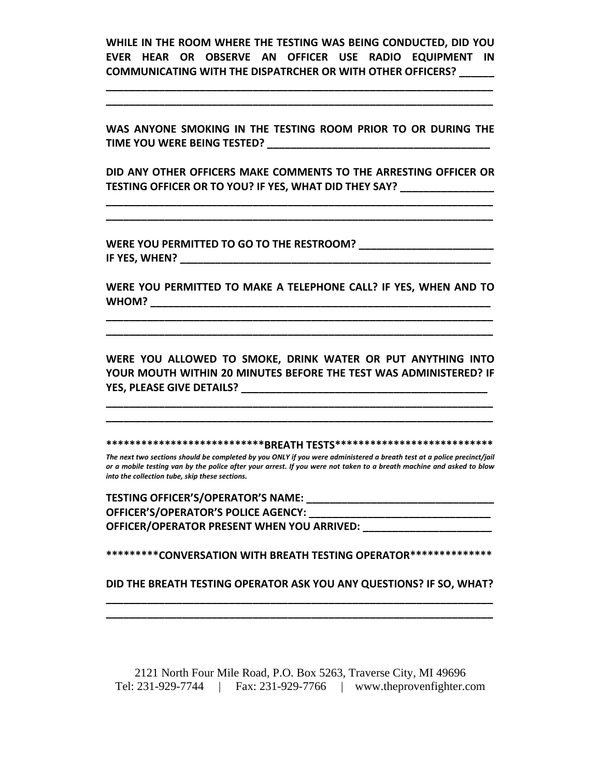**WHILE IN THE ROOM WHERE THE TESTING WAS BEING CONDUCTED, DID YOU EVER HEAR OR OBSERVE AN OFFICER USE RADIO EQUIPMENT IN COMMUNICATING WITH THE DISPATRCHER OR WITH OTHER OFFICERS? \_\_\_\_\_\_**

**\_\_\_\_\_\_\_\_\_\_\_\_\_\_\_\_\_\_\_\_\_\_\_\_\_\_\_\_\_\_\_\_\_\_\_\_\_\_\_\_\_\_\_\_\_\_\_\_\_\_\_\_\_\_\_\_\_\_\_\_\_\_\_\_\_\_ \_\_\_\_\_\_\_\_\_\_\_\_\_\_\_\_\_\_\_\_\_\_\_\_\_\_\_\_\_\_\_\_\_\_\_\_\_\_\_\_\_\_\_\_\_\_\_\_\_\_\_\_\_\_\_\_\_\_\_\_\_\_\_\_\_\_**

**WAS ANYONE SMOKING IN THE TESTING ROOM PRIOR TO OR DURING THE TIME YOU WERE BEING TESTED? \_\_\_\_\_\_\_\_\_\_\_\_\_\_\_\_\_\_\_\_\_\_\_\_\_\_\_\_\_\_\_\_\_\_\_\_\_\_**

**DID ANY OTHER OFFICERS MAKE COMMENTS TO THE ARRESTING OFFICER OR TESTING OFFICER OR TO YOU? IF YES, WHAT DID THEY SAY? \_\_\_\_\_\_\_\_\_\_\_\_\_\_\_\_**

**\_\_\_\_\_\_\_\_\_\_\_\_\_\_\_\_\_\_\_\_\_\_\_\_\_\_\_\_\_\_\_\_\_\_\_\_\_\_\_\_\_\_\_\_\_\_\_\_\_\_\_\_\_\_\_\_\_\_\_\_\_\_\_\_\_\_ \_\_\_\_\_\_\_\_\_\_\_\_\_\_\_\_\_\_\_\_\_\_\_\_\_\_\_\_\_\_\_\_\_\_\_\_\_\_\_\_\_\_\_\_\_\_\_\_\_\_\_\_\_\_\_\_\_\_\_\_\_\_\_\_\_\_**

**WERE YOU PERMITTED TO GO TO THE RESTROOM? \_\_\_\_\_\_\_\_\_\_\_\_\_\_\_\_\_\_\_\_\_\_\_ IF YES, WHEN? \_\_\_\_\_\_\_\_\_\_\_\_\_\_\_\_\_\_\_\_\_\_\_\_\_\_\_\_\_\_\_\_\_\_\_\_\_\_\_\_\_\_\_\_\_\_\_\_\_\_\_\_\_**

**WERE YOU PERMITTED TO MAKE A TELEPHONE CALL? IF YES, WHEN AND TO WHOM? \_\_\_\_\_\_\_\_\_\_\_\_\_\_\_\_\_\_\_\_\_\_\_\_\_\_\_\_\_\_\_\_\_\_\_\_\_\_\_\_\_\_\_\_\_\_\_\_\_\_\_\_\_\_\_\_\_\_**

**\_\_\_\_\_\_\_\_\_\_\_\_\_\_\_\_\_\_\_\_\_\_\_\_\_\_\_\_\_\_\_\_\_\_\_\_\_\_\_\_\_\_\_\_\_\_\_\_\_\_\_\_\_\_\_\_\_\_\_\_\_\_\_\_\_\_ \_\_\_\_\_\_\_\_\_\_\_\_\_\_\_\_\_\_\_\_\_\_\_\_\_\_\_\_\_\_\_\_\_\_\_\_\_\_\_\_\_\_\_\_\_\_\_\_\_\_\_\_\_\_\_\_\_\_\_\_\_\_\_\_\_\_**

**WERE YOU ALLOWED TO SMOKE, DRINK WATER OR PUT ANYTHING INTO YOUR MOUTH WITHIN 20 MINUTES BEFORE THE TEST WAS ADMINISTERED? IF YES, PLEASE GIVE DETAILS? \_\_\_\_\_\_\_\_\_\_\_\_\_\_\_\_\_\_\_\_\_\_\_\_\_\_\_\_\_\_\_\_\_\_\_\_\_\_\_\_\_\_**

**\_\_\_\_\_\_\_\_\_\_\_\_\_\_\_\_\_\_\_\_\_\_\_\_\_\_\_\_\_\_\_\_\_\_\_\_\_\_\_\_\_\_\_\_\_\_\_\_\_\_\_\_\_\_\_\_\_\_\_\_\_\_\_\_\_\_ \_\_\_\_\_\_\_\_\_\_\_\_\_\_\_\_\_\_\_\_\_\_\_\_\_\_\_\_\_\_\_\_\_\_\_\_\_\_\_\_\_\_\_\_\_\_\_\_\_\_\_\_\_\_\_\_\_\_\_\_\_\_\_\_\_\_**

**\*\*\*\*\*\*\*\*\*\*\*\*\*\*\*\*\*\*\*\*\*\*\*\*\*\*\*BREATH TESTS\*\*\*\*\*\*\*\*\*\*\*\*\*\*\*\*\*\*\*\*\*\*\*\*\*\*\***

The next two sections should be completed by you ONLY if you were administered a breath test at a police precinct/jail or a mobile testing van by the police after your arrest. If you were not taken to a breath machine and asked to blow *into the collection tube, skip these sections.*

**TESTING OFFICER'S/OPERATOR'S NAME: \_\_\_\_\_\_\_\_\_\_\_\_\_\_\_\_\_\_\_\_\_\_\_\_\_\_\_\_\_\_\_\_ OFFICER'S/OPERATOR'S POLICE AGENCY: \_\_\_\_\_\_\_\_\_\_\_\_\_\_\_\_\_\_\_\_\_\_\_\_\_\_\_\_\_\_\_ OFFICER/OPERATOR PRESENT WHEN YOU ARRIVED: \_\_\_\_\_\_\_\_\_\_\_\_\_\_\_\_\_\_\_\_\_\_**

**\*\*\*\*\*\*\*\*\*CONVERSATION WITH BREATH TESTING OPERATOR\*\*\*\*\*\*\*\*\*\*\*\*\*\***

# **DID THE BREATH TESTING OPERATOR ASK YOU ANY QUESTIONS? IF SO, WHAT? \_\_\_\_\_\_\_\_\_\_\_\_\_\_\_\_\_\_\_\_\_\_\_\_\_\_\_\_\_\_\_\_\_\_\_\_\_\_\_\_\_\_\_\_\_\_\_\_\_\_\_\_\_\_\_\_\_\_\_\_\_\_\_\_\_\_**

**\_\_\_\_\_\_\_\_\_\_\_\_\_\_\_\_\_\_\_\_\_\_\_\_\_\_\_\_\_\_\_\_\_\_\_\_\_\_\_\_\_\_\_\_\_\_\_\_\_\_\_\_\_\_\_\_\_\_\_\_\_\_\_\_\_\_**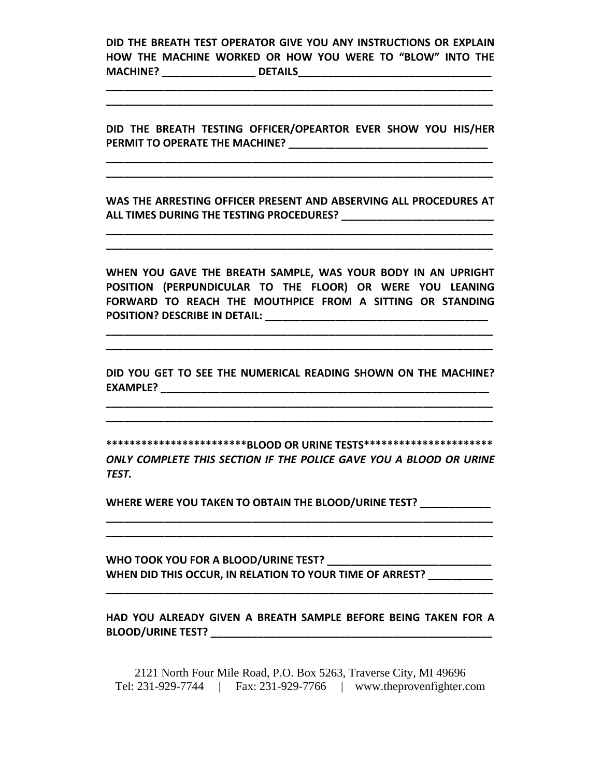**DID THE BREATH TEST OPERATOR GIVE YOU ANY INSTRUCTIONS OR EXPLAIN HOW THE MACHINE WORKED OR HOW YOU WERE TO "BLOW" INTO THE MACHINE? \_\_\_\_\_\_\_\_\_\_\_\_\_\_\_\_ DETAILS\_\_\_\_\_\_\_\_\_\_\_\_\_\_\_\_\_\_\_\_\_\_\_\_\_\_\_\_\_\_\_\_\_**

**\_\_\_\_\_\_\_\_\_\_\_\_\_\_\_\_\_\_\_\_\_\_\_\_\_\_\_\_\_\_\_\_\_\_\_\_\_\_\_\_\_\_\_\_\_\_\_\_\_\_\_\_\_\_\_\_\_\_\_\_\_\_\_\_\_\_ \_\_\_\_\_\_\_\_\_\_\_\_\_\_\_\_\_\_\_\_\_\_\_\_\_\_\_\_\_\_\_\_\_\_\_\_\_\_\_\_\_\_\_\_\_\_\_\_\_\_\_\_\_\_\_\_\_\_\_\_\_\_\_\_\_\_**

**DID THE BREATH TESTING OFFICER/OPEARTOR EVER SHOW YOU HIS/HER PERMIT TO OPERATE THE MACHINE? \_\_\_\_\_\_\_\_\_\_\_\_\_\_\_\_\_\_\_\_\_\_\_\_\_\_\_\_\_\_\_\_\_\_**

**\_\_\_\_\_\_\_\_\_\_\_\_\_\_\_\_\_\_\_\_\_\_\_\_\_\_\_\_\_\_\_\_\_\_\_\_\_\_\_\_\_\_\_\_\_\_\_\_\_\_\_\_\_\_\_\_\_\_\_\_\_\_\_\_\_\_ \_\_\_\_\_\_\_\_\_\_\_\_\_\_\_\_\_\_\_\_\_\_\_\_\_\_\_\_\_\_\_\_\_\_\_\_\_\_\_\_\_\_\_\_\_\_\_\_\_\_\_\_\_\_\_\_\_\_\_\_\_\_\_\_\_\_**

**WAS THE ARRESTING OFFICER PRESENT AND ABSERVING ALL PROCEDURES AT ALL TIMES DURING THE TESTING PROCEDURES? \_\_\_\_\_\_\_\_\_\_\_\_\_\_\_\_\_\_\_\_\_\_\_\_\_\_**

**\_\_\_\_\_\_\_\_\_\_\_\_\_\_\_\_\_\_\_\_\_\_\_\_\_\_\_\_\_\_\_\_\_\_\_\_\_\_\_\_\_\_\_\_\_\_\_\_\_\_\_\_\_\_\_\_\_\_\_\_\_\_\_\_\_\_ \_\_\_\_\_\_\_\_\_\_\_\_\_\_\_\_\_\_\_\_\_\_\_\_\_\_\_\_\_\_\_\_\_\_\_\_\_\_\_\_\_\_\_\_\_\_\_\_\_\_\_\_\_\_\_\_\_\_\_\_\_\_\_\_\_\_**

**WHEN YOU GAVE THE BREATH SAMPLE, WAS YOUR BODY IN AN UPRIGHT POSITION (PERPUNDICULAR TO THE FLOOR) OR WERE YOU LEANING FORWARD TO REACH THE MOUTHPICE FROM A SITTING OR STANDING POSITION? DESCRIBE IN DETAIL: \_\_\_\_\_\_\_\_\_\_\_\_\_\_\_\_\_\_\_\_\_\_\_\_\_\_\_\_\_\_\_\_\_\_\_\_\_\_**

**\_\_\_\_\_\_\_\_\_\_\_\_\_\_\_\_\_\_\_\_\_\_\_\_\_\_\_\_\_\_\_\_\_\_\_\_\_\_\_\_\_\_\_\_\_\_\_\_\_\_\_\_\_\_\_\_\_\_\_\_\_\_\_\_\_\_ \_\_\_\_\_\_\_\_\_\_\_\_\_\_\_\_\_\_\_\_\_\_\_\_\_\_\_\_\_\_\_\_\_\_\_\_\_\_\_\_\_\_\_\_\_\_\_\_\_\_\_\_\_\_\_\_\_\_\_\_\_\_\_\_\_\_**

**DID YOU GET TO SEE THE NUMERICAL READING SHOWN ON THE MACHINE? EXAMPLE? \_\_\_\_\_\_\_\_\_\_\_\_\_\_\_\_\_\_\_\_\_\_\_\_\_\_\_\_\_\_\_\_\_\_\_\_\_\_\_\_\_\_\_\_\_\_\_\_\_\_\_\_\_\_\_\_**

**\_\_\_\_\_\_\_\_\_\_\_\_\_\_\_\_\_\_\_\_\_\_\_\_\_\_\_\_\_\_\_\_\_\_\_\_\_\_\_\_\_\_\_\_\_\_\_\_\_\_\_\_\_\_\_\_\_\_\_\_\_\_\_\_\_\_ \_\_\_\_\_\_\_\_\_\_\_\_\_\_\_\_\_\_\_\_\_\_\_\_\_\_\_\_\_\_\_\_\_\_\_\_\_\_\_\_\_\_\_\_\_\_\_\_\_\_\_\_\_\_\_\_\_\_\_\_\_\_\_\_\_\_**

**\*\*\*\*\*\*\*\*\*\*\*\*\*\*\*\*\*\*\*\*\*\*\*\*BLOOD OR URINE TESTS\*\*\*\*\*\*\*\*\*\*\*\*\*\*\*\*\*\*\*\*\*\*** *ONLY COMPLETE THIS SECTION IF THE POLICE GAVE YOU A BLOOD OR URINE TEST.*

**\_\_\_\_\_\_\_\_\_\_\_\_\_\_\_\_\_\_\_\_\_\_\_\_\_\_\_\_\_\_\_\_\_\_\_\_\_\_\_\_\_\_\_\_\_\_\_\_\_\_\_\_\_\_\_\_\_\_\_\_\_\_\_\_\_\_ \_\_\_\_\_\_\_\_\_\_\_\_\_\_\_\_\_\_\_\_\_\_\_\_\_\_\_\_\_\_\_\_\_\_\_\_\_\_\_\_\_\_\_\_\_\_\_\_\_\_\_\_\_\_\_\_\_\_\_\_\_\_\_\_\_\_**

**WHERE WERE YOU TAKEN TO OBTAIN THE BLOOD/URINE TEST? \_\_\_\_\_\_\_\_\_\_\_\_**

**WHO TOOK YOU FOR A BLOOD/URINE TEST? \_\_\_\_\_\_\_\_\_\_\_\_\_\_\_\_\_\_\_\_\_\_\_\_\_\_\_\_ WHEN DID THIS OCCUR, IN RELATION TO YOUR TIME OF ARREST? \_\_\_\_\_\_\_\_\_\_\_**

**HAD YOU ALREADY GIVEN A BREATH SAMPLE BEFORE BEING TAKEN FOR A BLOOD/URINE TEST? \_\_\_\_\_\_\_\_\_\_\_\_\_\_\_\_\_\_\_\_\_\_\_\_\_\_\_\_\_\_\_\_\_\_\_\_\_\_\_\_\_\_\_\_\_\_\_\_**

**\_\_\_\_\_\_\_\_\_\_\_\_\_\_\_\_\_\_\_\_\_\_\_\_\_\_\_\_\_\_\_\_\_\_\_\_\_\_\_\_\_\_\_\_\_\_\_\_\_\_\_\_\_\_\_\_\_\_\_\_\_\_\_\_\_\_**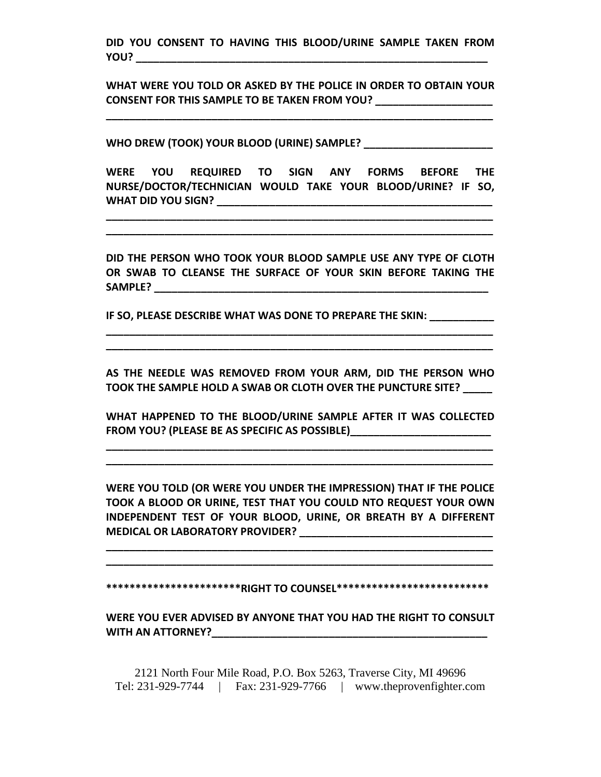**DID YOU CONSENT TO HAVING THIS BLOOD/URINE SAMPLE TAKEN FROM YOU? \_\_\_\_\_\_\_\_\_\_\_\_\_\_\_\_\_\_\_\_\_\_\_\_\_\_\_\_\_\_\_\_\_\_\_\_\_\_\_\_\_\_\_\_\_\_\_\_\_\_\_\_\_\_\_\_\_\_\_\_**

**WHAT WERE YOU TOLD OR ASKED BY THE POLICE IN ORDER TO OBTAIN YOUR CONSENT FOR THIS SAMPLE TO BE TAKEN FROM YOU? \_\_\_\_\_\_\_\_\_\_\_\_\_\_\_\_\_\_\_\_**

**\_\_\_\_\_\_\_\_\_\_\_\_\_\_\_\_\_\_\_\_\_\_\_\_\_\_\_\_\_\_\_\_\_\_\_\_\_\_\_\_\_\_\_\_\_\_\_\_\_\_\_\_\_\_\_\_\_\_\_\_\_\_\_\_\_\_**

**WHO DREW (TOOK) YOUR BLOOD (URINE) SAMPLE? \_\_\_\_\_\_\_\_\_\_\_\_\_\_\_\_\_\_\_\_\_\_**

**WERE YOU REQUIRED TO SIGN ANY FORMS BEFORE THE NURSE/DOCTOR/TECHNICIAN WOULD TAKE YOUR BLOOD/URINE? IF SO, WHAT DID YOU SIGN? \_\_\_\_\_\_\_\_\_\_\_\_\_\_\_\_\_\_\_\_\_\_\_\_\_\_\_\_\_\_\_\_\_\_\_\_\_\_\_\_\_\_\_\_\_\_\_**

**\_\_\_\_\_\_\_\_\_\_\_\_\_\_\_\_\_\_\_\_\_\_\_\_\_\_\_\_\_\_\_\_\_\_\_\_\_\_\_\_\_\_\_\_\_\_\_\_\_\_\_\_\_\_\_\_\_\_\_\_\_\_\_\_\_\_ \_\_\_\_\_\_\_\_\_\_\_\_\_\_\_\_\_\_\_\_\_\_\_\_\_\_\_\_\_\_\_\_\_\_\_\_\_\_\_\_\_\_\_\_\_\_\_\_\_\_\_\_\_\_\_\_\_\_\_\_\_\_\_\_\_\_**

**DID THE PERSON WHO TOOK YOUR BLOOD SAMPLE USE ANY TYPE OF CLOTH OR SWAB TO CLEANSE THE SURFACE OF YOUR SKIN BEFORE TAKING THE SAMPLE? \_\_\_\_\_\_\_\_\_\_\_\_\_\_\_\_\_\_\_\_\_\_\_\_\_\_\_\_\_\_\_\_\_\_\_\_\_\_\_\_\_\_\_\_\_\_\_\_\_\_\_\_\_\_\_\_\_**

**IF SO, PLEASE DESCRIBE WHAT WAS DONE TO PREPARE THE SKIN: \_\_\_\_\_\_\_\_\_\_\_**

**AS THE NEEDLE WAS REMOVED FROM YOUR ARM, DID THE PERSON WHO TOOK THE SAMPLE HOLD A SWAB OR CLOTH OVER THE PUNCTURE SITE? \_\_\_\_\_**

**\_\_\_\_\_\_\_\_\_\_\_\_\_\_\_\_\_\_\_\_\_\_\_\_\_\_\_\_\_\_\_\_\_\_\_\_\_\_\_\_\_\_\_\_\_\_\_\_\_\_\_\_\_\_\_\_\_\_\_\_\_\_\_\_\_\_ \_\_\_\_\_\_\_\_\_\_\_\_\_\_\_\_\_\_\_\_\_\_\_\_\_\_\_\_\_\_\_\_\_\_\_\_\_\_\_\_\_\_\_\_\_\_\_\_\_\_\_\_\_\_\_\_\_\_\_\_\_\_\_\_\_\_**

**WHAT HAPPENED TO THE BLOOD/URINE SAMPLE AFTER IT WAS COLLECTED FROM YOU? (PLEASE BE AS SPECIFIC AS POSSIBLE)\_\_\_\_\_\_\_\_\_\_\_\_\_\_\_\_\_\_\_\_\_\_\_\_**

**\_\_\_\_\_\_\_\_\_\_\_\_\_\_\_\_\_\_\_\_\_\_\_\_\_\_\_\_\_\_\_\_\_\_\_\_\_\_\_\_\_\_\_\_\_\_\_\_\_\_\_\_\_\_\_\_\_\_\_\_\_\_\_\_\_\_ \_\_\_\_\_\_\_\_\_\_\_\_\_\_\_\_\_\_\_\_\_\_\_\_\_\_\_\_\_\_\_\_\_\_\_\_\_\_\_\_\_\_\_\_\_\_\_\_\_\_\_\_\_\_\_\_\_\_\_\_\_\_\_\_\_\_**

**WERE YOU TOLD (OR WERE YOU UNDER THE IMPRESSION) THAT IF THE POLICE TOOK A BLOOD OR URINE, TEST THAT YOU COULD NTO REQUEST YOUR OWN INDEPENDENT TEST OF YOUR BLOOD, URINE, OR BREATH BY A DIFFERENT MEDICAL OR LABORATORY PROVIDER? \_\_\_\_\_\_\_\_\_\_\_\_\_\_\_\_\_\_\_\_\_\_\_\_\_\_\_\_\_\_\_\_\_**

**\_\_\_\_\_\_\_\_\_\_\_\_\_\_\_\_\_\_\_\_\_\_\_\_\_\_\_\_\_\_\_\_\_\_\_\_\_\_\_\_\_\_\_\_\_\_\_\_\_\_\_\_\_\_\_\_\_\_\_\_\_\_\_\_\_\_ \_\_\_\_\_\_\_\_\_\_\_\_\_\_\_\_\_\_\_\_\_\_\_\_\_\_\_\_\_\_\_\_\_\_\_\_\_\_\_\_\_\_\_\_\_\_\_\_\_\_\_\_\_\_\_\_\_\_\_\_\_\_\_\_\_\_**

**\*\*\*\*\*\*\*\*\*\*\*\*\*\*\*\*\*\*\*\*\*\*\*RIGHT TO COUNSEL\*\*\*\*\*\*\*\*\*\*\*\*\*\*\*\*\*\*\*\*\*\*\*\*\*\***

**WERE YOU EVER ADVISED BY ANYONE THAT YOU HAD THE RIGHT TO CONSULT WITH AN ATTORNEY?\_\_\_\_\_\_\_\_\_\_\_\_\_\_\_\_\_\_\_\_\_\_\_\_\_\_\_\_\_\_\_\_\_\_\_\_\_\_\_\_\_\_\_\_\_\_\_**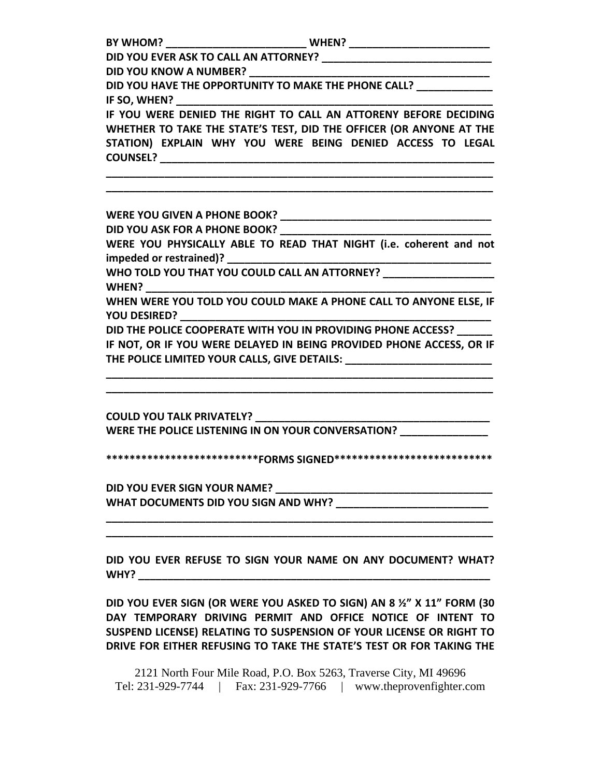| DID YOU HAVE THE OPPORTUNITY TO MAKE THE PHONE CALL? ______________ |                                                                                  |  |  |  |  |  |                                                                  |  |  |  |  |  |
|---------------------------------------------------------------------|----------------------------------------------------------------------------------|--|--|--|--|--|------------------------------------------------------------------|--|--|--|--|--|
|                                                                     |                                                                                  |  |  |  |  |  |                                                                  |  |  |  |  |  |
|                                                                     |                                                                                  |  |  |  |  |  | IF YOU WERE DENIED THE RIGHT TO CALL AN ATTORENY BEFORE DECIDING |  |  |  |  |  |
|                                                                     | WHETHER TO TAKE THE STATE'S TEST, DID THE OFFICER (OR ANYONE AT THE              |  |  |  |  |  |                                                                  |  |  |  |  |  |
|                                                                     | STATION) EXPLAIN WHY YOU WERE BEING DENIED ACCESS TO LEGAL                       |  |  |  |  |  |                                                                  |  |  |  |  |  |
|                                                                     |                                                                                  |  |  |  |  |  |                                                                  |  |  |  |  |  |
|                                                                     |                                                                                  |  |  |  |  |  |                                                                  |  |  |  |  |  |
|                                                                     |                                                                                  |  |  |  |  |  |                                                                  |  |  |  |  |  |
|                                                                     | WERE YOU PHYSICALLY ABLE TO READ THAT NIGHT (i.e. coherent and not               |  |  |  |  |  |                                                                  |  |  |  |  |  |
|                                                                     |                                                                                  |  |  |  |  |  |                                                                  |  |  |  |  |  |
|                                                                     | WHO TOLD YOU THAT YOU COULD CALL AN ATTORNEY? __________________________________ |  |  |  |  |  |                                                                  |  |  |  |  |  |
|                                                                     | WHEN WERE YOU TOLD YOU COULD MAKE A PHONE CALL TO ANYONE ELSE, IF                |  |  |  |  |  |                                                                  |  |  |  |  |  |
|                                                                     |                                                                                  |  |  |  |  |  |                                                                  |  |  |  |  |  |
|                                                                     | DID THE POLICE COOPERATE WITH YOU IN PROVIDING PHONE ACCESS? ______              |  |  |  |  |  |                                                                  |  |  |  |  |  |
|                                                                     | IF NOT, OR IF YOU WERE DELAYED IN BEING PROVIDED PHONE ACCESS, OR IF             |  |  |  |  |  |                                                                  |  |  |  |  |  |
|                                                                     | THE POLICE LIMITED YOUR CALLS, GIVE DETAILS: ___________________________         |  |  |  |  |  |                                                                  |  |  |  |  |  |
|                                                                     | WERE THE POLICE LISTENING IN ON YOUR CONVERSATION? _______________               |  |  |  |  |  |                                                                  |  |  |  |  |  |
|                                                                     |                                                                                  |  |  |  |  |  |                                                                  |  |  |  |  |  |

**\*\*\*\*\*\*\*\*\*\*\*\*\*\*\*\*\*\*\*\*\*\*\*\*\*\*FORMS SIGNED\*\*\*\*\*\*\*\*\*\*\*\*\*\*\*\*\*\*\*\*\*\*\*\*\*\*\***

**DID YOU EVER SIGN YOUR NAME? \_\_\_\_\_\_\_\_\_\_\_\_\_\_\_\_\_\_\_\_\_\_\_\_\_\_\_\_\_\_\_\_\_\_\_\_\_ WHAT DOCUMENTS DID YOU SIGN AND WHY? \_\_\_\_\_\_\_\_\_\_\_\_\_\_\_\_\_\_\_\_\_\_\_\_\_\_**

**DID YOU EVER REFUSE TO SIGN YOUR NAME ON ANY DOCUMENT? WHAT? WHY? \_\_\_\_\_\_\_\_\_\_\_\_\_\_\_\_\_\_\_\_\_\_\_\_\_\_\_\_\_\_\_\_\_\_\_\_\_\_\_\_\_\_\_\_\_\_\_\_\_\_\_\_\_\_\_\_\_\_\_\_**

**\_\_\_\_\_\_\_\_\_\_\_\_\_\_\_\_\_\_\_\_\_\_\_\_\_\_\_\_\_\_\_\_\_\_\_\_\_\_\_\_\_\_\_\_\_\_\_\_\_\_\_\_\_\_\_\_\_\_\_\_\_\_\_\_\_\_ \_\_\_\_\_\_\_\_\_\_\_\_\_\_\_\_\_\_\_\_\_\_\_\_\_\_\_\_\_\_\_\_\_\_\_\_\_\_\_\_\_\_\_\_\_\_\_\_\_\_\_\_\_\_\_\_\_\_\_\_\_\_\_\_\_\_**

**DID YOU EVER SIGN (OR WERE YOU ASKED TO SIGN) AN 8 ½" X 11" FORM (30 DAY TEMPORARY DRIVING PERMIT AND OFFICE NOTICE OF INTENT TO SUSPEND LICENSE) RELATING TO SUSPENSION OF YOUR LICENSE OR RIGHT TO DRIVE FOR EITHER REFUSING TO TAKE THE STATE'S TEST OR FOR TAKING THE**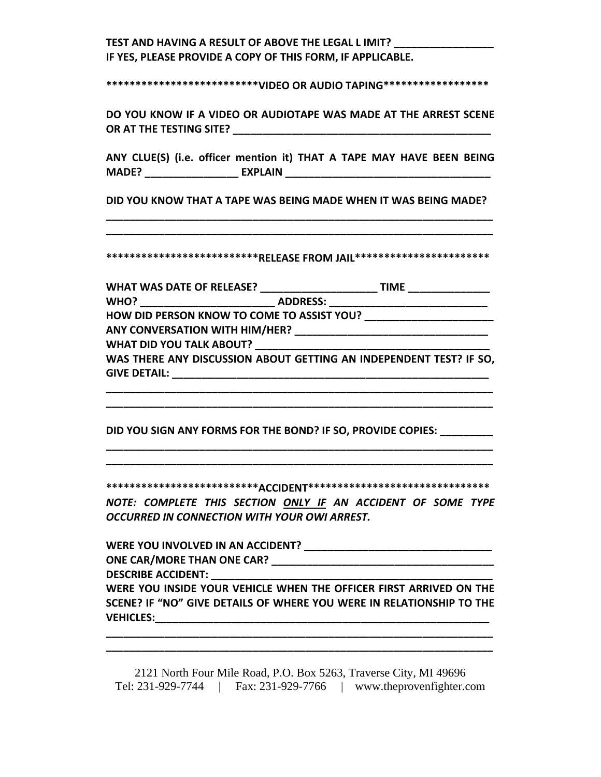# **TEST AND HAVING A RESULT OF ABOVE THE LEGAL L IMIT? \_\_\_\_\_\_\_\_\_\_\_\_\_\_\_\_\_ IF YES, PLEASE PROVIDE A COPY OF THIS FORM, IF APPLICABLE.**

**\*\*\*\*\*\*\*\*\*\*\*\*\*\*\*\*\*\*\*\*\*\*\*\*\*\*VIDEO OR AUDIO TAPING\*\*\*\*\*\*\*\*\*\*\*\*\*\*\*\*\*\***

**DO YOU KNOW IF A VIDEO OR AUDIOTAPE WAS MADE AT THE ARREST SCENE OR AT THE TESTING SITE? \_\_\_\_\_\_\_\_\_\_\_\_\_\_\_\_\_\_\_\_\_\_\_\_\_\_\_\_\_\_\_\_\_\_\_\_\_\_\_\_\_\_\_\_**

**ANY CLUE(S) (i.e. officer mention it) THAT A TAPE MAY HAVE BEEN BEING MADE? \_\_\_\_\_\_\_\_\_\_\_\_\_\_\_\_ EXPLAIN \_\_\_\_\_\_\_\_\_\_\_\_\_\_\_\_\_\_\_\_\_\_\_\_\_\_\_\_\_\_\_\_\_\_\_**

**DID YOU KNOW THAT A TAPE WAS BEING MADE WHEN IT WAS BEING MADE? \_\_\_\_\_\_\_\_\_\_\_\_\_\_\_\_\_\_\_\_\_\_\_\_\_\_\_\_\_\_\_\_\_\_\_\_\_\_\_\_\_\_\_\_\_\_\_\_\_\_\_\_\_\_\_\_\_\_\_\_\_\_\_\_\_\_**

**\*\*\*\*\*\*\*\*\*\*\*\*\*\*\*\*\*\*\*\*\*\*\*\*\*\*RELEASE FROM JAIL\*\*\*\*\*\*\*\*\*\*\*\*\*\*\*\*\*\*\*\*\*\*\***

**\_\_\_\_\_\_\_\_\_\_\_\_\_\_\_\_\_\_\_\_\_\_\_\_\_\_\_\_\_\_\_\_\_\_\_\_\_\_\_\_\_\_\_\_\_\_\_\_\_\_\_\_\_\_\_\_\_\_\_\_\_\_\_\_\_\_**

| <b>WHAT WAS DATE OF RELEASE?</b>                                   |                 | <b>TIME</b> |
|--------------------------------------------------------------------|-----------------|-------------|
| <b>WHO?</b>                                                        | <b>ADDRESS:</b> |             |
| HOW DID PERSON KNOW TO COME TO ASSIST YOU?                         |                 |             |
| ANY CONVERSATION WITH HIM/HER?                                     |                 |             |
| <b>WHAT DID YOU TALK ABOUT?</b>                                    |                 |             |
| WAS THERE ANY DISCUSSION ABOUT GETTING AN INDEPENDENT TEST? IF SO, |                 |             |
| <b>GIVE DETAIL:</b>                                                |                 |             |

**\_\_\_\_\_\_\_\_\_\_\_\_\_\_\_\_\_\_\_\_\_\_\_\_\_\_\_\_\_\_\_\_\_\_\_\_\_\_\_\_\_\_\_\_\_\_\_\_\_\_\_\_\_\_\_\_\_\_\_\_\_\_\_\_\_\_ \_\_\_\_\_\_\_\_\_\_\_\_\_\_\_\_\_\_\_\_\_\_\_\_\_\_\_\_\_\_\_\_\_\_\_\_\_\_\_\_\_\_\_\_\_\_\_\_\_\_\_\_\_\_\_\_\_\_\_\_\_\_\_\_\_\_**

**DID YOU SIGN ANY FORMS FOR THE BOND? IF SO, PROVIDE COPIES: \_\_\_\_\_\_\_\_\_**

**\*\*\*\*\*\*\*\*\*\*\*\*\*\*\*\*\*\*\*\*\*\*\*\*\*\*ACCIDENT\*\*\*\*\*\*\*\*\*\*\*\*\*\*\*\*\*\*\*\*\*\*\*\*\*\*\*\*\*\*\***

**\_\_\_\_\_\_\_\_\_\_\_\_\_\_\_\_\_\_\_\_\_\_\_\_\_\_\_\_\_\_\_\_\_\_\_\_\_\_\_\_\_\_\_\_\_\_\_\_\_\_\_\_\_\_\_\_\_\_\_\_\_\_\_\_\_\_ \_\_\_\_\_\_\_\_\_\_\_\_\_\_\_\_\_\_\_\_\_\_\_\_\_\_\_\_\_\_\_\_\_\_\_\_\_\_\_\_\_\_\_\_\_\_\_\_\_\_\_\_\_\_\_\_\_\_\_\_\_\_\_\_\_\_**

*NOTE: COMPLETE THIS SECTION ONLY IF AN ACCIDENT OF SOME TYPE OCCURRED IN CONNECTION WITH YOUR OWI ARREST.*

| WERE YOU INVOLVED IN AN ACCIDENT?                                    |  |
|----------------------------------------------------------------------|--|
| <b>ONE CAR/MORE THAN ONE CAR?</b>                                    |  |
| <b>DESCRIBE ACCIDENT:</b>                                            |  |
| WERE YOU INSIDE YOUR VEHICLE WHEN THE OFFICER FIRST ARRIVED ON THE   |  |
| SCENE? IF "NO" GIVE DETAILS OF WHERE YOU WERE IN RELATIONSHIP TO THE |  |
| <b>VEHICLES:</b>                                                     |  |

**\_\_\_\_\_\_\_\_\_\_\_\_\_\_\_\_\_\_\_\_\_\_\_\_\_\_\_\_\_\_\_\_\_\_\_\_\_\_\_\_\_\_\_\_\_\_\_\_\_\_\_\_\_\_\_\_\_\_\_\_\_\_\_\_\_\_ \_\_\_\_\_\_\_\_\_\_\_\_\_\_\_\_\_\_\_\_\_\_\_\_\_\_\_\_\_\_\_\_\_\_\_\_\_\_\_\_\_\_\_\_\_\_\_\_\_\_\_\_\_\_\_\_\_\_\_\_\_\_\_\_\_\_**

<sup>2121</sup> North Four Mile Road, P.O. Box 5263, Traverse City, MI 49696 Tel: 231-929-7744 | Fax: 231-929-7766 | www.theprovenfighter.com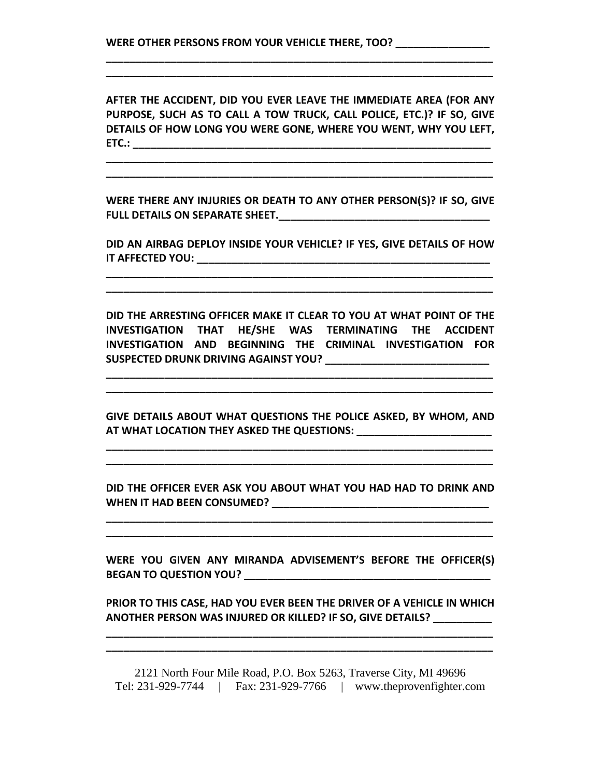**AFTER THE ACCIDENT, DID YOU EVER LEAVE THE IMMEDIATE AREA (FOR ANY PURPOSE, SUCH AS TO CALL A TOW TRUCK, CALL POLICE, ETC.)? IF SO, GIVE DETAILS OF HOW LONG YOU WERE GONE, WHERE YOU WENT, WHY YOU LEFT, ETC.: \_\_\_\_\_\_\_\_\_\_\_\_\_\_\_\_\_\_\_\_\_\_\_\_\_\_\_\_\_\_\_\_\_\_\_\_\_\_\_\_\_\_\_\_\_\_\_\_\_\_\_\_\_\_\_\_\_\_\_\_\_**

**\_\_\_\_\_\_\_\_\_\_\_\_\_\_\_\_\_\_\_\_\_\_\_\_\_\_\_\_\_\_\_\_\_\_\_\_\_\_\_\_\_\_\_\_\_\_\_\_\_\_\_\_\_\_\_\_\_\_\_\_\_\_\_\_\_\_ \_\_\_\_\_\_\_\_\_\_\_\_\_\_\_\_\_\_\_\_\_\_\_\_\_\_\_\_\_\_\_\_\_\_\_\_\_\_\_\_\_\_\_\_\_\_\_\_\_\_\_\_\_\_\_\_\_\_\_\_\_\_\_\_\_\_**

**\_\_\_\_\_\_\_\_\_\_\_\_\_\_\_\_\_\_\_\_\_\_\_\_\_\_\_\_\_\_\_\_\_\_\_\_\_\_\_\_\_\_\_\_\_\_\_\_\_\_\_\_\_\_\_\_\_\_\_\_\_\_\_\_\_\_ \_\_\_\_\_\_\_\_\_\_\_\_\_\_\_\_\_\_\_\_\_\_\_\_\_\_\_\_\_\_\_\_\_\_\_\_\_\_\_\_\_\_\_\_\_\_\_\_\_\_\_\_\_\_\_\_\_\_\_\_\_\_\_\_\_\_**

**WERE THERE ANY INJURIES OR DEATH TO ANY OTHER PERSON(S)? IF SO, GIVE FULL DETAILS ON SEPARATE SHEET.\_\_\_\_\_\_\_\_\_\_\_\_\_\_\_\_\_\_\_\_\_\_\_\_\_\_\_\_\_\_\_\_\_\_\_\_**

**DID AN AIRBAG DEPLOY INSIDE YOUR VEHICLE? IF YES, GIVE DETAILS OF HOW IT AFFECTED YOU: \_\_\_\_\_\_\_\_\_\_\_\_\_\_\_\_\_\_\_\_\_\_\_\_\_\_\_\_\_\_\_\_\_\_\_\_\_\_\_\_\_\_\_\_\_\_\_\_\_\_**

**\_\_\_\_\_\_\_\_\_\_\_\_\_\_\_\_\_\_\_\_\_\_\_\_\_\_\_\_\_\_\_\_\_\_\_\_\_\_\_\_\_\_\_\_\_\_\_\_\_\_\_\_\_\_\_\_\_\_\_\_\_\_\_\_\_\_ \_\_\_\_\_\_\_\_\_\_\_\_\_\_\_\_\_\_\_\_\_\_\_\_\_\_\_\_\_\_\_\_\_\_\_\_\_\_\_\_\_\_\_\_\_\_\_\_\_\_\_\_\_\_\_\_\_\_\_\_\_\_\_\_\_\_**

**DID THE ARRESTING OFFICER MAKE IT CLEAR TO YOU AT WHAT POINT OF THE INVESTIGATION THAT HE/SHE WAS TERMINATING THE ACCIDENT INVESTIGATION AND BEGINNING THE CRIMINAL INVESTIGATION FOR SUSPECTED DRUNK DRIVING AGAINST YOU? \_\_\_\_\_\_\_\_\_\_\_\_\_\_\_\_\_\_\_\_\_\_\_\_\_\_\_\_**

**\_\_\_\_\_\_\_\_\_\_\_\_\_\_\_\_\_\_\_\_\_\_\_\_\_\_\_\_\_\_\_\_\_\_\_\_\_\_\_\_\_\_\_\_\_\_\_\_\_\_\_\_\_\_\_\_\_\_\_\_\_\_\_\_\_\_ \_\_\_\_\_\_\_\_\_\_\_\_\_\_\_\_\_\_\_\_\_\_\_\_\_\_\_\_\_\_\_\_\_\_\_\_\_\_\_\_\_\_\_\_\_\_\_\_\_\_\_\_\_\_\_\_\_\_\_\_\_\_\_\_\_\_**

**GIVE DETAILS ABOUT WHAT QUESTIONS THE POLICE ASKED, BY WHOM, AND AT WHAT LOCATION THEY ASKED THE QUESTIONS: \_\_\_\_\_\_\_\_\_\_\_\_\_\_\_\_\_\_\_\_\_\_\_**

**\_\_\_\_\_\_\_\_\_\_\_\_\_\_\_\_\_\_\_\_\_\_\_\_\_\_\_\_\_\_\_\_\_\_\_\_\_\_\_\_\_\_\_\_\_\_\_\_\_\_\_\_\_\_\_\_\_\_\_\_\_\_\_\_\_\_ \_\_\_\_\_\_\_\_\_\_\_\_\_\_\_\_\_\_\_\_\_\_\_\_\_\_\_\_\_\_\_\_\_\_\_\_\_\_\_\_\_\_\_\_\_\_\_\_\_\_\_\_\_\_\_\_\_\_\_\_\_\_\_\_\_\_**

**DID THE OFFICER EVER ASK YOU ABOUT WHAT YOU HAD HAD TO DRINK AND WHEN IT HAD BEEN CONSUMED? \_\_\_\_\_\_\_\_\_\_\_\_\_\_\_\_\_\_\_\_\_\_\_\_\_\_\_\_\_\_\_\_\_\_\_\_\_**

**\_\_\_\_\_\_\_\_\_\_\_\_\_\_\_\_\_\_\_\_\_\_\_\_\_\_\_\_\_\_\_\_\_\_\_\_\_\_\_\_\_\_\_\_\_\_\_\_\_\_\_\_\_\_\_\_\_\_\_\_\_\_\_\_\_\_ \_\_\_\_\_\_\_\_\_\_\_\_\_\_\_\_\_\_\_\_\_\_\_\_\_\_\_\_\_\_\_\_\_\_\_\_\_\_\_\_\_\_\_\_\_\_\_\_\_\_\_\_\_\_\_\_\_\_\_\_\_\_\_\_\_\_**

**WERE YOU GIVEN ANY MIRANDA ADVISEMENT'S BEFORE THE OFFICER(S) BEGAN TO QUESTION YOU? \_\_\_\_\_\_\_\_\_\_\_\_\_\_\_\_\_\_\_\_\_\_\_\_\_\_\_\_\_\_\_\_\_\_\_\_\_\_\_\_\_\_**

**PRIOR TO THIS CASE, HAD YOU EVER BEEN THE DRIVER OF A VEHICLE IN WHICH ANOTHER PERSON WAS INJURED OR KILLED? IF SO, GIVE DETAILS? \_\_\_\_\_\_\_\_\_\_**

**\_\_\_\_\_\_\_\_\_\_\_\_\_\_\_\_\_\_\_\_\_\_\_\_\_\_\_\_\_\_\_\_\_\_\_\_\_\_\_\_\_\_\_\_\_\_\_\_\_\_\_\_\_\_\_\_\_\_\_\_\_\_\_\_\_\_ \_\_\_\_\_\_\_\_\_\_\_\_\_\_\_\_\_\_\_\_\_\_\_\_\_\_\_\_\_\_\_\_\_\_\_\_\_\_\_\_\_\_\_\_\_\_\_\_\_\_\_\_\_\_\_\_\_\_\_\_\_\_\_\_\_\_**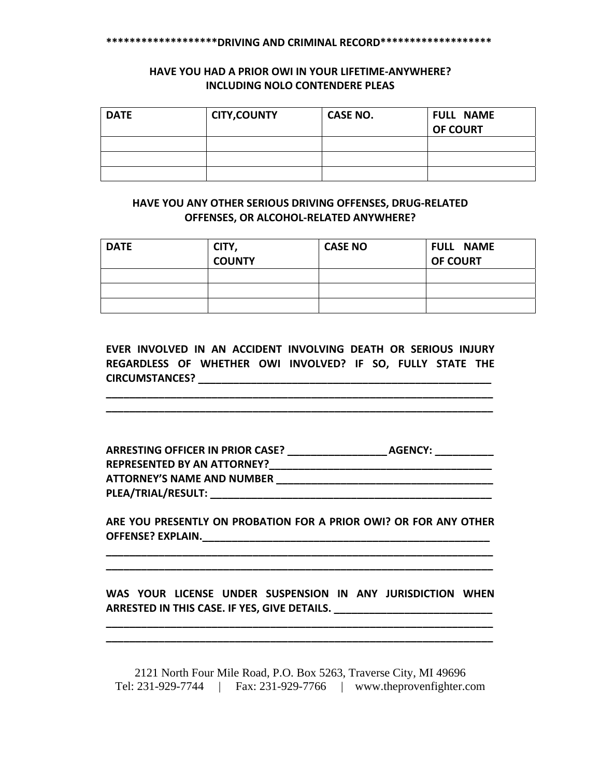#### **\*\*\*\*\*\*\*\*\*\*\*\*\*\*\*\*\*\*\*DRIVING AND CRIMINAL RECORD\*\*\*\*\*\*\*\*\*\*\*\*\*\*\*\*\*\*\***

# **HAVE YOU HAD A PRIOR OWI IN YOUR LIFETIME‐ANYWHERE? INCLUDING NOLO CONTENDERE PLEAS**

| <b>DATE</b> | <b>CITY, COUNTY</b> | <b>CASE NO.</b> | <b>FULL NAME</b><br><b>OF COURT</b> |
|-------------|---------------------|-----------------|-------------------------------------|
|             |                     |                 |                                     |
|             |                     |                 |                                     |
|             |                     |                 |                                     |

# **HAVE YOU ANY OTHER SERIOUS DRIVING OFFENSES, DRUG‐RELATED OFFENSES, OR ALCOHOL‐RELATED ANYWHERE?**

| <b>DATE</b> | CITY,         | <b>CASE NO</b> | <b>FULL NAME</b> |
|-------------|---------------|----------------|------------------|
|             | <b>COUNTY</b> |                | <b>OF COURT</b>  |
|             |               |                |                  |
|             |               |                |                  |
|             |               |                |                  |

**EVER INVOLVED IN AN ACCIDENT INVOLVING DEATH OR SERIOUS INJURY REGARDLESS OF WHETHER OWI INVOLVED? IF SO, FULLY STATE THE CIRCUMSTANCES? \_\_\_\_\_\_\_\_\_\_\_\_\_\_\_\_\_\_\_\_\_\_\_\_\_\_\_\_\_\_\_\_\_\_\_\_\_\_\_\_\_\_\_\_\_\_\_\_\_\_**

**\_\_\_\_\_\_\_\_\_\_\_\_\_\_\_\_\_\_\_\_\_\_\_\_\_\_\_\_\_\_\_\_\_\_\_\_\_\_\_\_\_\_\_\_\_\_\_\_\_\_\_\_\_\_\_\_\_\_\_\_\_\_\_\_\_\_ \_\_\_\_\_\_\_\_\_\_\_\_\_\_\_\_\_\_\_\_\_\_\_\_\_\_\_\_\_\_\_\_\_\_\_\_\_\_\_\_\_\_\_\_\_\_\_\_\_\_\_\_\_\_\_\_\_\_\_\_\_\_\_\_\_\_**

| ARRESTING OFFICER IN PRIOR CASE?   | <b>AGENCY:</b> |
|------------------------------------|----------------|
| <b>REPRESENTED BY AN ATTORNEY?</b> |                |
| <b>ATTORNEY'S NAME AND NUMBER</b>  |                |
| PLEA/TRIAL/RESULT:                 |                |

**ARE YOU PRESENTLY ON PROBATION FOR A PRIOR OWI? OR FOR ANY OTHER OFFENSE? EXPLAIN.\_\_\_\_\_\_\_\_\_\_\_\_\_\_\_\_\_\_\_\_\_\_\_\_\_\_\_\_\_\_\_\_\_\_\_\_\_\_\_\_\_\_\_\_\_\_\_\_\_**

**\_\_\_\_\_\_\_\_\_\_\_\_\_\_\_\_\_\_\_\_\_\_\_\_\_\_\_\_\_\_\_\_\_\_\_\_\_\_\_\_\_\_\_\_\_\_\_\_\_\_\_\_\_\_\_\_\_\_\_\_\_\_\_\_\_\_ \_\_\_\_\_\_\_\_\_\_\_\_\_\_\_\_\_\_\_\_\_\_\_\_\_\_\_\_\_\_\_\_\_\_\_\_\_\_\_\_\_\_\_\_\_\_\_\_\_\_\_\_\_\_\_\_\_\_\_\_\_\_\_\_\_\_**

**WAS YOUR LICENSE UNDER SUSPENSION IN ANY JURISDICTION WHEN ARRESTED IN THIS CASE. IF YES, GIVE DETAILS. \_\_\_\_\_\_\_\_\_\_\_\_\_\_\_\_\_\_\_\_\_\_\_\_\_\_\_**

**\_\_\_\_\_\_\_\_\_\_\_\_\_\_\_\_\_\_\_\_\_\_\_\_\_\_\_\_\_\_\_\_\_\_\_\_\_\_\_\_\_\_\_\_\_\_\_\_\_\_\_\_\_\_\_\_\_\_\_\_\_\_\_\_\_\_ \_\_\_\_\_\_\_\_\_\_\_\_\_\_\_\_\_\_\_\_\_\_\_\_\_\_\_\_\_\_\_\_\_\_\_\_\_\_\_\_\_\_\_\_\_\_\_\_\_\_\_\_\_\_\_\_\_\_\_\_\_\_\_\_\_\_**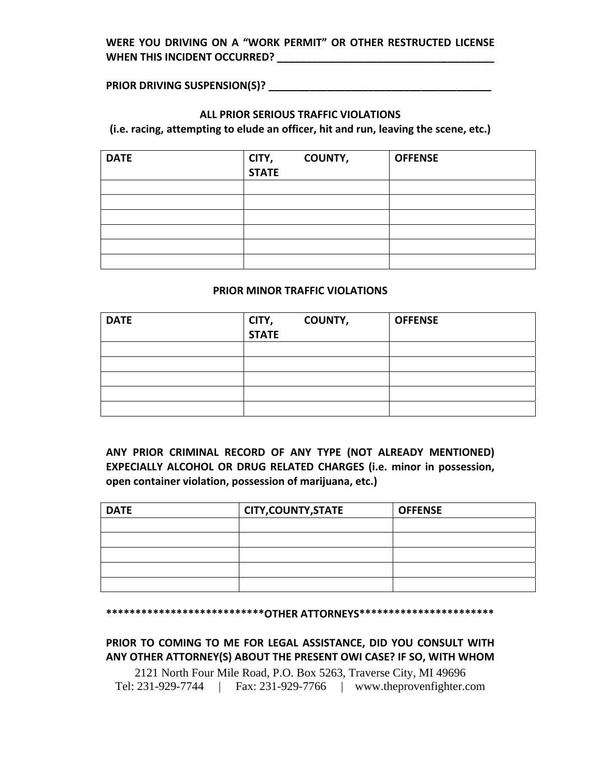# **WERE YOU DRIVING ON A "WORK PERMIT" OR OTHER RESTRUCTED LICENSE WHEN THIS INCIDENT OCCURRED? \_\_\_\_\_\_\_\_\_\_\_\_\_\_\_\_\_\_\_\_\_\_\_\_\_\_\_\_\_\_\_\_\_\_\_\_\_**

**PRIOR DRIVING SUSPENSION(S)? \_\_\_\_\_\_\_\_\_\_\_\_\_\_\_\_\_\_\_\_\_\_\_\_\_\_\_\_\_\_\_\_\_\_\_\_\_\_**

### **ALL PRIOR SERIOUS TRAFFIC VIOLATIONS**

**(i.e. racing, attempting to elude an officer, hit and run, leaving the scene, etc.)**

| <b>DATE</b> | CITY,<br><b>STATE</b> | <b>COUNTY,</b> | <b>OFFENSE</b> |
|-------------|-----------------------|----------------|----------------|
|             |                       |                |                |
|             |                       |                |                |
|             |                       |                |                |
|             |                       |                |                |
|             |                       |                |                |
|             |                       |                |                |

### **PRIOR MINOR TRAFFIC VIOLATIONS**

| <b>DATE</b> | CITY,<br><b>STATE</b> | <b>COUNTY,</b> | <b>OFFENSE</b> |
|-------------|-----------------------|----------------|----------------|
|             |                       |                |                |
|             |                       |                |                |
|             |                       |                |                |
|             |                       |                |                |
|             |                       |                |                |

**ANY PRIOR CRIMINAL RECORD OF ANY TYPE (NOT ALREADY MENTIONED) EXPECIALLY ALCOHOL OR DRUG RELATED CHARGES (i.e. minor in possession, open container violation, possession of marijuana, etc.)**

| <b>DATE</b> | <b>CITY, COUNTY, STATE</b> | <b>OFFENSE</b> |
|-------------|----------------------------|----------------|
|             |                            |                |
|             |                            |                |
|             |                            |                |
|             |                            |                |
|             |                            |                |

#### **\*\*\*\*\*\*\*\*\*\*\*\*\*\*\*\*\*\*\*\*\*\*\*\*\*\*\*OTHER ATTORNEYS\*\*\*\*\*\*\*\*\*\*\*\*\*\*\*\*\*\*\*\*\*\*\***

**PRIOR TO COMING TO ME FOR LEGAL ASSISTANCE, DID YOU CONSULT WITH ANY OTHER ATTORNEY(S) ABOUT THE PRESENT OWI CASE? IF SO, WITH WHOM**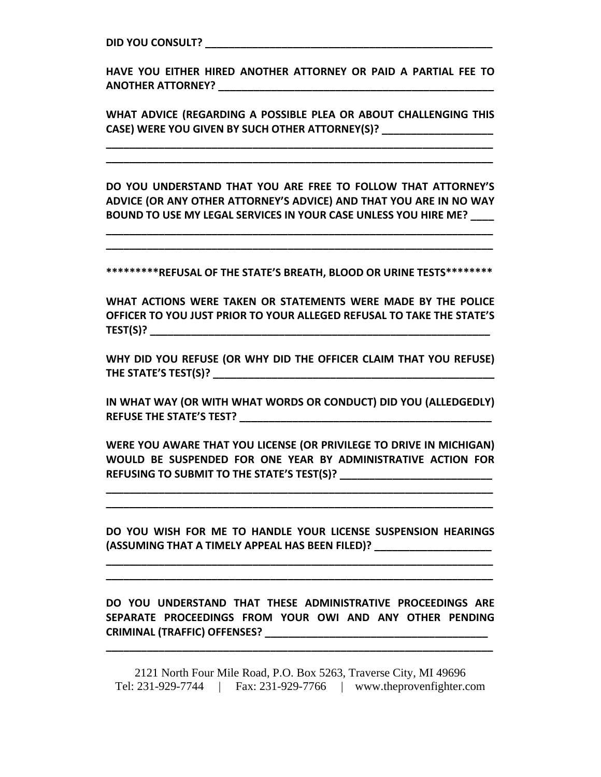**DID YOU CONSULT? \_\_\_\_\_\_\_\_\_\_\_\_\_\_\_\_\_\_\_\_\_\_\_\_\_\_\_\_\_\_\_\_\_\_\_\_\_\_\_\_\_\_\_\_\_\_\_\_\_**

**HAVE YOU EITHER HIRED ANOTHER ATTORNEY OR PAID A PARTIAL FEE TO ANOTHER ATTORNEY? \_\_\_\_\_\_\_\_\_\_\_\_\_\_\_\_\_\_\_\_\_\_\_\_\_\_\_\_\_\_\_\_\_\_\_\_\_\_\_\_\_\_\_\_\_\_\_**

**WHAT ADVICE (REGARDING A POSSIBLE PLEA OR ABOUT CHALLENGING THIS CASE) WERE YOU GIVEN BY SUCH OTHER ATTORNEY(S)? \_\_\_\_\_\_\_\_\_\_\_\_\_\_\_\_\_\_\_**

**\_\_\_\_\_\_\_\_\_\_\_\_\_\_\_\_\_\_\_\_\_\_\_\_\_\_\_\_\_\_\_\_\_\_\_\_\_\_\_\_\_\_\_\_\_\_\_\_\_\_\_\_\_\_\_\_\_\_\_\_\_\_\_\_\_\_ \_\_\_\_\_\_\_\_\_\_\_\_\_\_\_\_\_\_\_\_\_\_\_\_\_\_\_\_\_\_\_\_\_\_\_\_\_\_\_\_\_\_\_\_\_\_\_\_\_\_\_\_\_\_\_\_\_\_\_\_\_\_\_\_\_\_**

**DO YOU UNDERSTAND THAT YOU ARE FREE TO FOLLOW THAT ATTORNEY'S ADVICE (OR ANY OTHER ATTORNEY'S ADVICE) AND THAT YOU ARE IN NO WAY BOUND TO USE MY LEGAL SERVICES IN YOUR CASE UNLESS YOU HIRE ME? \_\_\_\_**

**\_\_\_\_\_\_\_\_\_\_\_\_\_\_\_\_\_\_\_\_\_\_\_\_\_\_\_\_\_\_\_\_\_\_\_\_\_\_\_\_\_\_\_\_\_\_\_\_\_\_\_\_\_\_\_\_\_\_\_\_\_\_\_\_\_\_ \_\_\_\_\_\_\_\_\_\_\_\_\_\_\_\_\_\_\_\_\_\_\_\_\_\_\_\_\_\_\_\_\_\_\_\_\_\_\_\_\_\_\_\_\_\_\_\_\_\_\_\_\_\_\_\_\_\_\_\_\_\_\_\_\_\_**

**\*\*\*\*\*\*\*\*\*REFUSAL OF THE STATE'S BREATH, BLOOD OR URINE TESTS\*\*\*\*\*\*\*\***

**WHAT ACTIONS WERE TAKEN OR STATEMENTS WERE MADE BY THE POLICE OFFICER TO YOU JUST PRIOR TO YOUR ALLEGED REFUSAL TO TAKE THE STATE'S TEST(S)? \_\_\_\_\_\_\_\_\_\_\_\_\_\_\_\_\_\_\_\_\_\_\_\_\_\_\_\_\_\_\_\_\_\_\_\_\_\_\_\_\_\_\_\_\_\_\_\_\_\_\_\_\_\_\_\_\_\_**

**WHY DID YOU REFUSE (OR WHY DID THE OFFICER CLAIM THAT YOU REFUSE) THE STATE'S TEST(S)? \_\_\_\_\_\_\_\_\_\_\_\_\_\_\_\_\_\_\_\_\_\_\_\_\_\_\_\_\_\_\_\_\_\_\_\_\_\_\_\_\_\_\_\_\_\_\_\_**

**IN WHAT WAY (OR WITH WHAT WORDS OR CONDUCT) DID YOU (ALLEDGEDLY) REFUSE THE STATE'S TEST? \_\_\_\_\_\_\_\_\_\_\_\_\_\_\_\_\_\_\_\_\_\_\_\_\_\_\_\_\_\_\_\_\_\_\_\_\_\_\_\_\_\_\_**

**WERE YOU AWARE THAT YOU LICENSE (OR PRIVILEGE TO DRIVE IN MICHIGAN) WOULD BE SUSPENDED FOR ONE YEAR BY ADMINISTRATIVE ACTION FOR REFUSING TO SUBMIT TO THE STATE'S TEST(S)? \_\_\_\_\_\_\_\_\_\_\_\_\_\_\_\_\_\_\_\_\_\_\_\_\_\_**

**\_\_\_\_\_\_\_\_\_\_\_\_\_\_\_\_\_\_\_\_\_\_\_\_\_\_\_\_\_\_\_\_\_\_\_\_\_\_\_\_\_\_\_\_\_\_\_\_\_\_\_\_\_\_\_\_\_\_\_\_\_\_\_\_\_\_ \_\_\_\_\_\_\_\_\_\_\_\_\_\_\_\_\_\_\_\_\_\_\_\_\_\_\_\_\_\_\_\_\_\_\_\_\_\_\_\_\_\_\_\_\_\_\_\_\_\_\_\_\_\_\_\_\_\_\_\_\_\_\_\_\_\_**

**DO YOU WISH FOR ME TO HANDLE YOUR LICENSE SUSPENSION HEARINGS (ASSUMING THAT A TIMELY APPEAL HAS BEEN FILED)? \_\_\_\_\_\_\_\_\_\_\_\_\_\_\_\_\_\_\_\_**

**\_\_\_\_\_\_\_\_\_\_\_\_\_\_\_\_\_\_\_\_\_\_\_\_\_\_\_\_\_\_\_\_\_\_\_\_\_\_\_\_\_\_\_\_\_\_\_\_\_\_\_\_\_\_\_\_\_\_\_\_\_\_\_\_\_\_ \_\_\_\_\_\_\_\_\_\_\_\_\_\_\_\_\_\_\_\_\_\_\_\_\_\_\_\_\_\_\_\_\_\_\_\_\_\_\_\_\_\_\_\_\_\_\_\_\_\_\_\_\_\_\_\_\_\_\_\_\_\_\_\_\_\_**

**DO YOU UNDERSTAND THAT THESE ADMINISTRATIVE PROCEEDINGS ARE SEPARATE PROCEEDINGS FROM YOUR OWI AND ANY OTHER PENDING CRIMINAL (TRAFFIC) OFFENSES? \_\_\_\_\_\_\_\_\_\_\_\_\_\_\_\_\_\_\_\_\_\_\_\_\_\_\_\_\_\_\_\_\_\_\_\_\_\_**

2121 North Four Mile Road, P.O. Box 5263, Traverse City, MI 49696 Tel: 231-929-7744 | Fax: 231-929-7766 | www.theprovenfighter.com

**\_\_\_\_\_\_\_\_\_\_\_\_\_\_\_\_\_\_\_\_\_\_\_\_\_\_\_\_\_\_\_\_\_\_\_\_\_\_\_\_\_\_\_\_\_\_\_\_\_\_\_\_\_\_\_\_\_\_\_\_\_\_\_\_\_\_**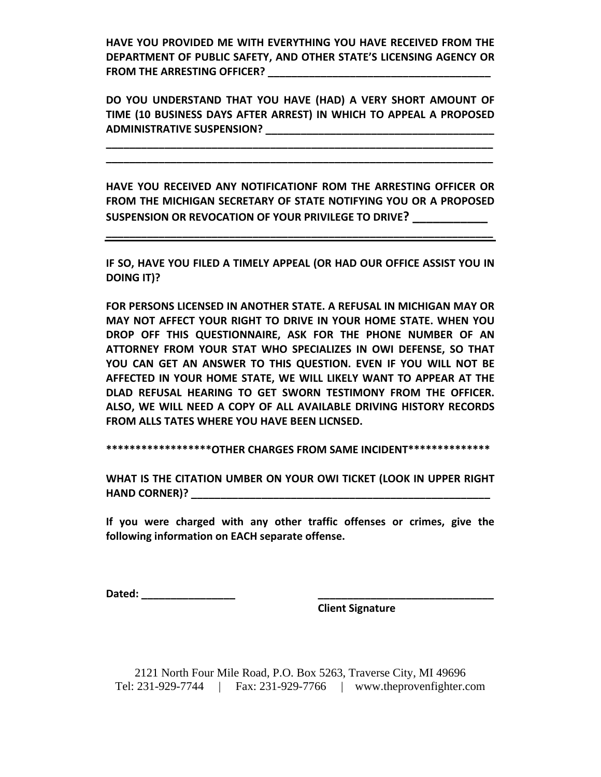**HAVE YOU PROVIDED ME WITH EVERYTHING YOU HAVE RECEIVED FROM THE DEPARTMENT OF PUBLIC SAFETY, AND OTHER STATE'S LICENSING AGENCY OR FROM THE ARRESTING OFFICER? \_\_\_\_\_\_\_\_\_\_\_\_\_\_\_\_\_\_\_\_\_\_\_\_\_\_\_\_\_\_\_\_\_\_\_\_\_\_**

**DO YOU UNDERSTAND THAT YOU HAVE (HAD) A VERY SHORT AMOUNT OF TIME (10 BUSINESS DAYS AFTER ARREST) IN WHICH TO APPEAL A PROPOSED ADMINISTRATIVE SUSPENSION? \_\_\_\_\_\_\_\_\_\_\_\_\_\_\_\_\_\_\_\_\_\_\_\_\_\_\_\_\_\_\_\_\_\_\_\_\_\_\_**

**\_\_\_\_\_\_\_\_\_\_\_\_\_\_\_\_\_\_\_\_\_\_\_\_\_\_\_\_\_\_\_\_\_\_\_\_\_\_\_\_\_\_\_\_\_\_\_\_\_\_\_\_\_\_\_\_\_\_\_\_\_\_\_\_\_\_ \_\_\_\_\_\_\_\_\_\_\_\_\_\_\_\_\_\_\_\_\_\_\_\_\_\_\_\_\_\_\_\_\_\_\_\_\_\_\_\_\_\_\_\_\_\_\_\_\_\_\_\_\_\_\_\_\_\_\_\_\_\_\_\_\_\_**

**HAVE YOU RECEIVED ANY NOTIFICATIONF ROM THE ARRESTING OFFICER OR FROM THE MICHIGAN SECRETARY OF STATE NOTIFYING YOU OR A PROPOSED SUSPENSION OR REVOCATION OF YOUR PRIVILEGE TO DRIVE? \_\_\_\_\_\_\_\_\_\_\_**

**\_\_\_\_\_\_\_\_\_\_\_\_\_\_\_\_\_\_\_\_\_\_\_\_\_\_\_\_\_\_\_\_\_\_\_\_\_\_\_\_\_\_\_\_\_\_\_\_\_\_\_\_\_\_\_\_\_\_\_\_\_\_\_\_\_\_**

**IF SO, HAVE YOU FILED A TIMELY APPEAL (OR HAD OUR OFFICE ASSIST YOU IN DOING IT)?**

**FOR PERSONS LICENSED IN ANOTHER STATE. A REFUSAL IN MICHIGAN MAY OR MAY NOT AFFECT YOUR RIGHT TO DRIVE IN YOUR HOME STATE. WHEN YOU DROP OFF THIS QUESTIONNAIRE, ASK FOR THE PHONE NUMBER OF AN ATTORNEY FROM YOUR STAT WHO SPECIALIZES IN OWI DEFENSE, SO THAT YOU CAN GET AN ANSWER TO THIS QUESTION. EVEN IF YOU WILL NOT BE AFFECTED IN YOUR HOME STATE, WE WILL LIKELY WANT TO APPEAR AT THE DLAD REFUSAL HEARING TO GET SWORN TESTIMONY FROM THE OFFICER. ALSO, WE WILL NEED A COPY OF ALL AVAILABLE DRIVING HISTORY RECORDS FROM ALLS TATES WHERE YOU HAVE BEEN LICNSED.** 

**\*\*\*\*\*\*\*\*\*\*\*\*\*\*\*\*\*\*OTHER CHARGES FROM SAME INCIDENT\*\*\*\*\*\*\*\*\*\*\*\*\*\***

**WHAT IS THE CITATION UMBER ON YOUR OWI TICKET (LOOK IN UPPER RIGHT HAND CORNER)? \_\_\_\_\_\_\_\_\_\_\_\_\_\_\_\_\_\_\_\_\_\_\_\_\_\_\_\_\_\_\_\_\_\_\_\_\_\_\_\_\_\_\_\_\_\_\_\_\_\_\_**

**If you were charged with any other traffic offenses or crimes, give the following information on EACH separate offense.**

**Dated: \_\_\_\_\_\_\_\_\_\_\_\_\_\_\_\_ \_\_\_\_\_\_\_\_\_\_\_\_\_\_\_\_\_\_\_\_\_\_\_\_\_\_\_\_\_\_**

 **Client Signature**